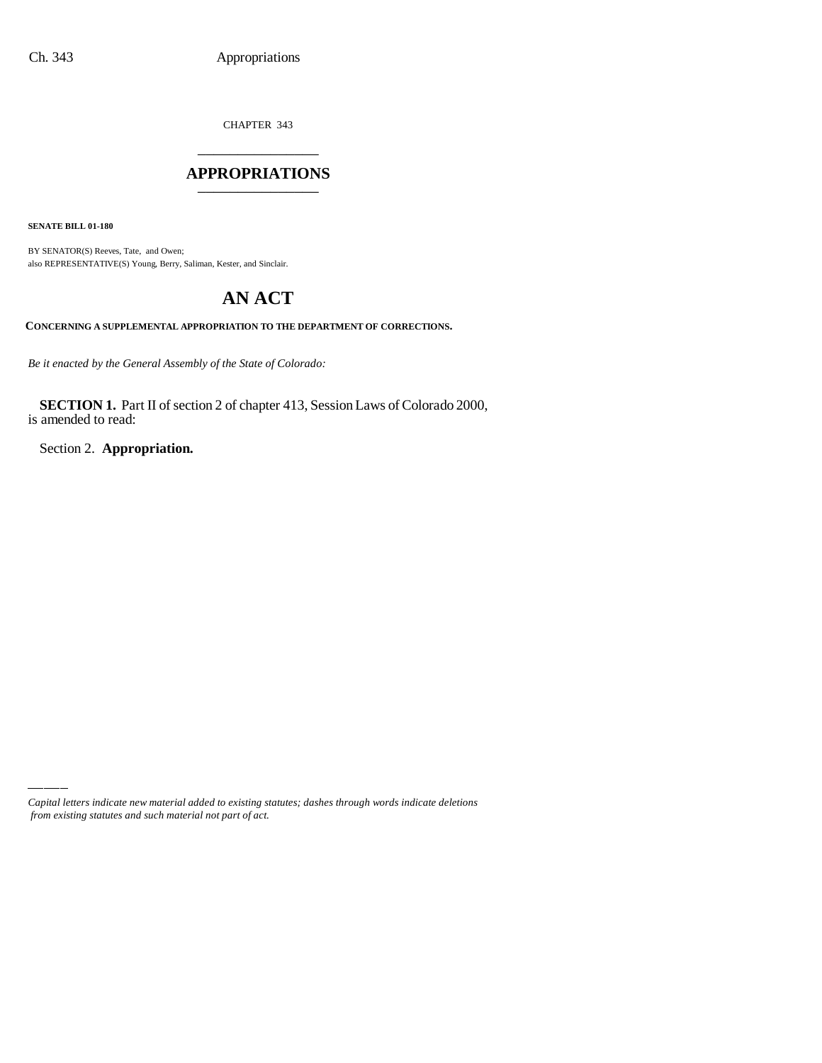CHAPTER 343 \_\_\_\_\_\_\_\_\_\_\_\_\_\_\_

#### **APPROPRIATIONS** \_\_\_\_\_\_\_\_\_\_\_\_\_\_\_

**SENATE BILL 01-180**

BY SENATOR(S) Reeves, Tate, and Owen; also REPRESENTATIVE(S) Young, Berry, Saliman, Kester, and Sinclair.

# **AN ACT**

**CONCERNING A SUPPLEMENTAL APPROPRIATION TO THE DEPARTMENT OF CORRECTIONS.**

*Be it enacted by the General Assembly of the State of Colorado:*

**SECTION 1.** Part II of section 2 of chapter 413, Session Laws of Colorado 2000, is amended to read:

Section 2. **Appropriation.**

*Capital letters indicate new material added to existing statutes; dashes through words indicate deletions from existing statutes and such material not part of act.*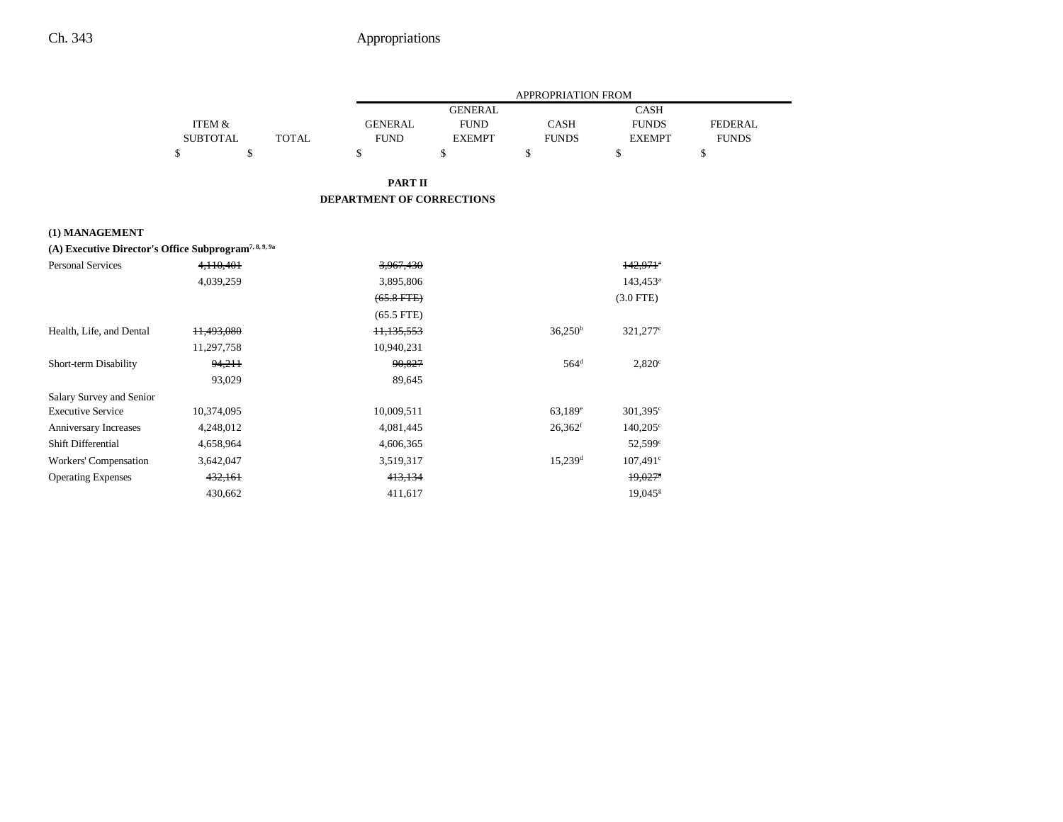| <b>GENERAL</b><br><b>CASH</b><br><b>ITEM &amp;</b><br><b>GENERAL</b><br><b>FUND</b><br><b>CASH</b><br><b>FUNDS</b><br><b>SUBTOTAL</b><br><b>TOTAL</b><br><b>FUND</b><br><b>FUNDS</b><br><b>EXEMPT</b><br><b>EXEMPT</b><br>\$<br>\$<br>\$<br>\$<br>\$<br>\$<br>\$<br><b>PART II</b><br><b>DEPARTMENT OF CORRECTIONS</b><br>(1) MANAGEMENT<br>(A) Executive Director's Office Subprogram <sup>7, 8, 9, 9a</sup><br><b>Personal Services</b><br>4.110.401<br>$142.971$ <sup>*</sup><br>3,967,430<br>4,039,259<br>$143,453^a$<br>3,895,806<br>$(65.8 FFE)$<br>$(3.0$ FTE)<br>$(65.5$ FTE)<br>$36,250^{\rm b}$<br>11,493,080<br>Health, Life, and Dental<br>11,135,553<br>321,277 <sup>c</sup><br>10,940,231<br>11,297,758<br>$564$ <sup>d</sup><br>Short-term Disability<br>94,211<br>90,827<br>$2,820^\circ$<br>93,029<br>89,645<br>Salary Survey and Senior<br><b>Executive Service</b><br>63,189 <sup>e</sup><br>10,374,095<br>10,009,511<br>$301,395^{\circ}$<br>$26,362$ <sup>f</sup><br>$140,205^{\circ}$<br><b>Anniversary Increases</b><br>4,248,012<br>4,081,445<br>Shift Differential<br>4,606,365<br>52,599 <sup>c</sup><br>4,658,964<br>$15,239$ <sup>d</sup><br>Workers' Compensation<br>$107,491^{\circ}$<br>3,642,047<br>3,519,317<br><b>Operating Expenses</b><br>432,161<br>19,027<br>413,134 |  |  | APPROPRIATION FROM |                |
|------------------------------------------------------------------------------------------------------------------------------------------------------------------------------------------------------------------------------------------------------------------------------------------------------------------------------------------------------------------------------------------------------------------------------------------------------------------------------------------------------------------------------------------------------------------------------------------------------------------------------------------------------------------------------------------------------------------------------------------------------------------------------------------------------------------------------------------------------------------------------------------------------------------------------------------------------------------------------------------------------------------------------------------------------------------------------------------------------------------------------------------------------------------------------------------------------------------------------------------------------------------------------------------------------------|--|--|--------------------|----------------|
|                                                                                                                                                                                                                                                                                                                                                                                                                                                                                                                                                                                                                                                                                                                                                                                                                                                                                                                                                                                                                                                                                                                                                                                                                                                                                                            |  |  |                    |                |
|                                                                                                                                                                                                                                                                                                                                                                                                                                                                                                                                                                                                                                                                                                                                                                                                                                                                                                                                                                                                                                                                                                                                                                                                                                                                                                            |  |  |                    | <b>FEDERAL</b> |
|                                                                                                                                                                                                                                                                                                                                                                                                                                                                                                                                                                                                                                                                                                                                                                                                                                                                                                                                                                                                                                                                                                                                                                                                                                                                                                            |  |  |                    | <b>FUNDS</b>   |
|                                                                                                                                                                                                                                                                                                                                                                                                                                                                                                                                                                                                                                                                                                                                                                                                                                                                                                                                                                                                                                                                                                                                                                                                                                                                                                            |  |  |                    |                |
|                                                                                                                                                                                                                                                                                                                                                                                                                                                                                                                                                                                                                                                                                                                                                                                                                                                                                                                                                                                                                                                                                                                                                                                                                                                                                                            |  |  |                    |                |
|                                                                                                                                                                                                                                                                                                                                                                                                                                                                                                                                                                                                                                                                                                                                                                                                                                                                                                                                                                                                                                                                                                                                                                                                                                                                                                            |  |  |                    |                |
|                                                                                                                                                                                                                                                                                                                                                                                                                                                                                                                                                                                                                                                                                                                                                                                                                                                                                                                                                                                                                                                                                                                                                                                                                                                                                                            |  |  |                    |                |
|                                                                                                                                                                                                                                                                                                                                                                                                                                                                                                                                                                                                                                                                                                                                                                                                                                                                                                                                                                                                                                                                                                                                                                                                                                                                                                            |  |  |                    |                |
|                                                                                                                                                                                                                                                                                                                                                                                                                                                                                                                                                                                                                                                                                                                                                                                                                                                                                                                                                                                                                                                                                                                                                                                                                                                                                                            |  |  |                    |                |
|                                                                                                                                                                                                                                                                                                                                                                                                                                                                                                                                                                                                                                                                                                                                                                                                                                                                                                                                                                                                                                                                                                                                                                                                                                                                                                            |  |  |                    |                |
|                                                                                                                                                                                                                                                                                                                                                                                                                                                                                                                                                                                                                                                                                                                                                                                                                                                                                                                                                                                                                                                                                                                                                                                                                                                                                                            |  |  |                    |                |
|                                                                                                                                                                                                                                                                                                                                                                                                                                                                                                                                                                                                                                                                                                                                                                                                                                                                                                                                                                                                                                                                                                                                                                                                                                                                                                            |  |  |                    |                |
|                                                                                                                                                                                                                                                                                                                                                                                                                                                                                                                                                                                                                                                                                                                                                                                                                                                                                                                                                                                                                                                                                                                                                                                                                                                                                                            |  |  |                    |                |
|                                                                                                                                                                                                                                                                                                                                                                                                                                                                                                                                                                                                                                                                                                                                                                                                                                                                                                                                                                                                                                                                                                                                                                                                                                                                                                            |  |  |                    |                |
|                                                                                                                                                                                                                                                                                                                                                                                                                                                                                                                                                                                                                                                                                                                                                                                                                                                                                                                                                                                                                                                                                                                                                                                                                                                                                                            |  |  |                    |                |
|                                                                                                                                                                                                                                                                                                                                                                                                                                                                                                                                                                                                                                                                                                                                                                                                                                                                                                                                                                                                                                                                                                                                                                                                                                                                                                            |  |  |                    |                |
|                                                                                                                                                                                                                                                                                                                                                                                                                                                                                                                                                                                                                                                                                                                                                                                                                                                                                                                                                                                                                                                                                                                                                                                                                                                                                                            |  |  |                    |                |
|                                                                                                                                                                                                                                                                                                                                                                                                                                                                                                                                                                                                                                                                                                                                                                                                                                                                                                                                                                                                                                                                                                                                                                                                                                                                                                            |  |  |                    |                |
|                                                                                                                                                                                                                                                                                                                                                                                                                                                                                                                                                                                                                                                                                                                                                                                                                                                                                                                                                                                                                                                                                                                                                                                                                                                                                                            |  |  |                    |                |
|                                                                                                                                                                                                                                                                                                                                                                                                                                                                                                                                                                                                                                                                                                                                                                                                                                                                                                                                                                                                                                                                                                                                                                                                                                                                                                            |  |  |                    |                |
|                                                                                                                                                                                                                                                                                                                                                                                                                                                                                                                                                                                                                                                                                                                                                                                                                                                                                                                                                                                                                                                                                                                                                                                                                                                                                                            |  |  |                    |                |
|                                                                                                                                                                                                                                                                                                                                                                                                                                                                                                                                                                                                                                                                                                                                                                                                                                                                                                                                                                                                                                                                                                                                                                                                                                                                                                            |  |  |                    |                |
| 430,662<br>411,617<br>$19,045$ <sup>g</sup>                                                                                                                                                                                                                                                                                                                                                                                                                                                                                                                                                                                                                                                                                                                                                                                                                                                                                                                                                                                                                                                                                                                                                                                                                                                                |  |  |                    |                |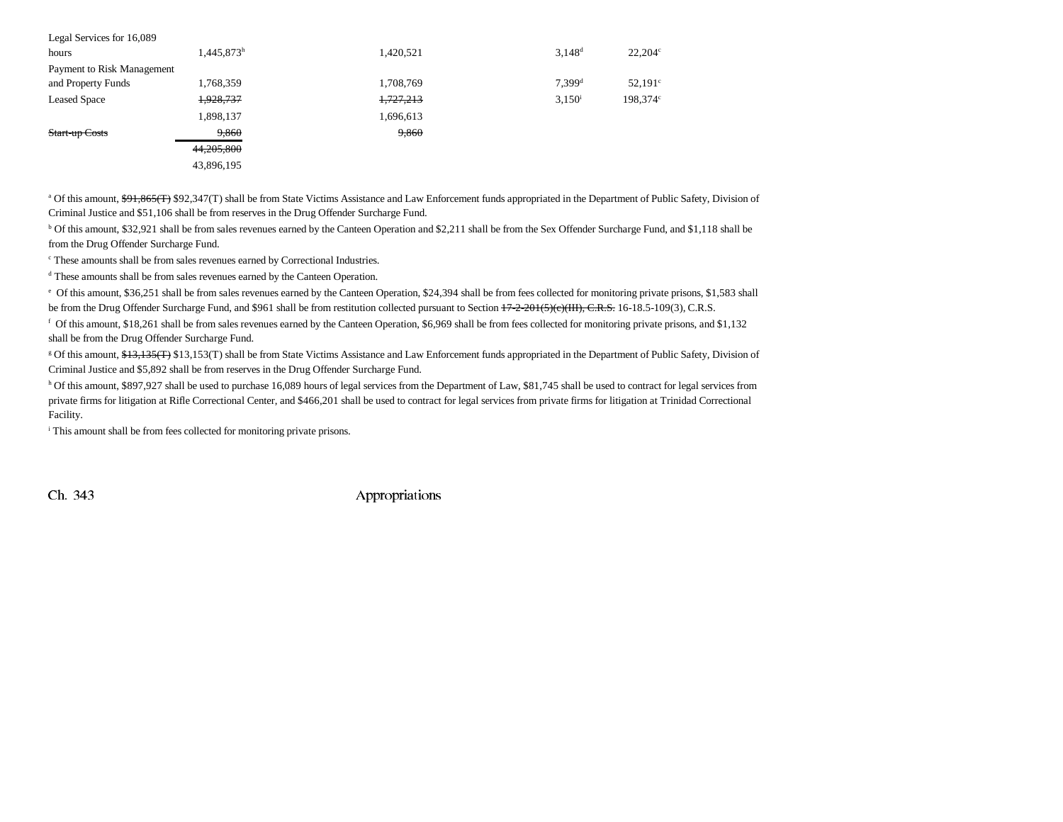| Legal Services for 16,089  |            |           |                      |                  |
|----------------------------|------------|-----------|----------------------|------------------|
| hours                      | 1,445,873h | 1,420,521 | $3.148^{d}$          | $22.204^{\circ}$ |
| Payment to Risk Management |            |           |                      |                  |
| and Property Funds         | 1,768,359  | 1,708,769 | $7.399$ <sup>d</sup> | $52,191^{\circ}$ |
| <b>Leased Space</b>        | 1,928,737  | 1,727,213 | $3,150^{\rm i}$      | 198.374c         |
|                            | 1,898,137  | 1,696,613 |                      |                  |
| Start-up Costs             | 9,860      | 9,860     |                      |                  |
|                            | 44,205,800 |           |                      |                  |
|                            | 43,896,195 |           |                      |                  |

<sup>a</sup> Of this amount, \$91,865(T) \$92,347(T) shall be from State Victims Assistance and Law Enforcement funds appropriated in the Department of Public Safety, Division of Criminal Justice and \$51,106 shall be from reserves in the Drug Offender Surcharge Fund.

<sup>b</sup> Of this amount, \$32,921 shall be from sales revenues earned by the Canteen Operation and \$2,211 shall be from the Sex Offender Surcharge Fund, and \$1,118 shall be from the Drug Offender Surcharge Fund.

c These amounts shall be from sales revenues earned by Correctional Industries.

<sup>d</sup> These amounts shall be from sales revenues earned by the Canteen Operation.

e Of this amount, \$36,251 shall be from sales revenues earned by the Canteen Operation, \$24,394 shall be from fees collected for monitoring private prisons, \$1,583 shall be from the Drug Offender Surcharge Fund, and \$961 shall be from restitution collected pursuant to Section  $17-2-201(5)(e)$ (III), C.R.S. 16-18.5-109(3), C.R.S.

f Of this amount, \$18,261 shall be from sales revenues earned by the Canteen Operation, \$6,969 shall be from fees collected for monitoring private prisons, and \$1,132 shall be from the Drug Offender Surcharge Fund.

<sup>g</sup> Of this amount, \$13,135(T) \$13,153(T) shall be from State Victims Assistance and Law Enforcement funds appropriated in the Department of Public Safety, Division of Criminal Justice and \$5,892 shall be from reserves in the Drug Offender Surcharge Fund.

h Of this amount, \$897,927 shall be used to purchase 16,089 hours of legal services from the Department of Law, \$81,745 shall be used to contract for legal services from private firms for litigation at Rifle Correctional Center, and \$466,201 shall be used to contract for legal services from private firms for litigation at Trinidad Correctional Facility.

i This amount shall be from fees collected for monitoring private prisons.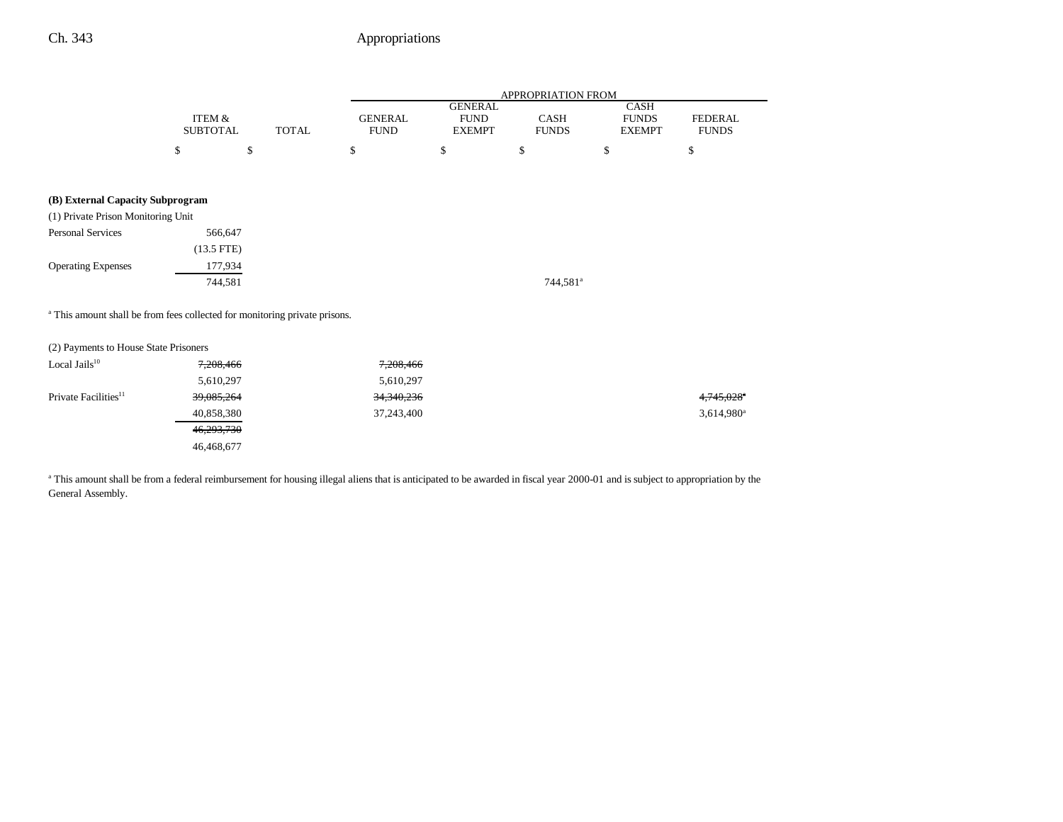|                                                                                       |                           |              | APPROPRIATION FROM            |                                                |                      |                                       |                                |
|---------------------------------------------------------------------------------------|---------------------------|--------------|-------------------------------|------------------------------------------------|----------------------|---------------------------------------|--------------------------------|
|                                                                                       | ITEM &<br><b>SUBTOTAL</b> | <b>TOTAL</b> | <b>GENERAL</b><br><b>FUND</b> | <b>GENERAL</b><br><b>FUND</b><br><b>EXEMPT</b> | CASH<br><b>FUNDS</b> | CASH<br><b>FUNDS</b><br><b>EXEMPT</b> | <b>FEDERAL</b><br><b>FUNDS</b> |
|                                                                                       | \$<br>\$                  |              | \$                            | \$                                             | \$                   | \$                                    | \$                             |
| (B) External Capacity Subprogram                                                      |                           |              |                               |                                                |                      |                                       |                                |
| (1) Private Prison Monitoring Unit                                                    |                           |              |                               |                                                |                      |                                       |                                |
| <b>Personal Services</b>                                                              | 566,647                   |              |                               |                                                |                      |                                       |                                |
| $(13.5$ FTE)                                                                          |                           |              |                               |                                                |                      |                                       |                                |
| <b>Operating Expenses</b>                                                             | 177,934                   |              |                               |                                                |                      |                                       |                                |
|                                                                                       | 744,581                   |              |                               |                                                | 744,581 <sup>a</sup> |                                       |                                |
| <sup>a</sup> This amount shall be from fees collected for monitoring private prisons. |                           |              |                               |                                                |                      |                                       |                                |
| (2) Payments to House State Prisoners                                                 |                           |              |                               |                                                |                      |                                       |                                |
| Local Jails <sup>10</sup>                                                             | 7,208,466                 |              | 7,208,466                     |                                                |                      |                                       |                                |
|                                                                                       | 5,610,297                 |              | 5,610,297                     |                                                |                      |                                       |                                |
| Private Facilities <sup>11</sup>                                                      | 39,085,264                |              | 34,340,236                    |                                                |                      |                                       |                                |
|                                                                                       | 40,858,380                |              | 37,243,400                    |                                                |                      |                                       | 3,614,980 <sup>a</sup>         |
|                                                                                       | 46,293,730                |              |                               |                                                |                      |                                       |                                |
|                                                                                       | 46,468,677                |              |                               |                                                |                      |                                       |                                |

<sup>a</sup> This amount shall be from a federal reimbursement for housing illegal aliens that is anticipated to be awarded in fiscal year 2000-01 and is subject to appropriation by the General Assembly.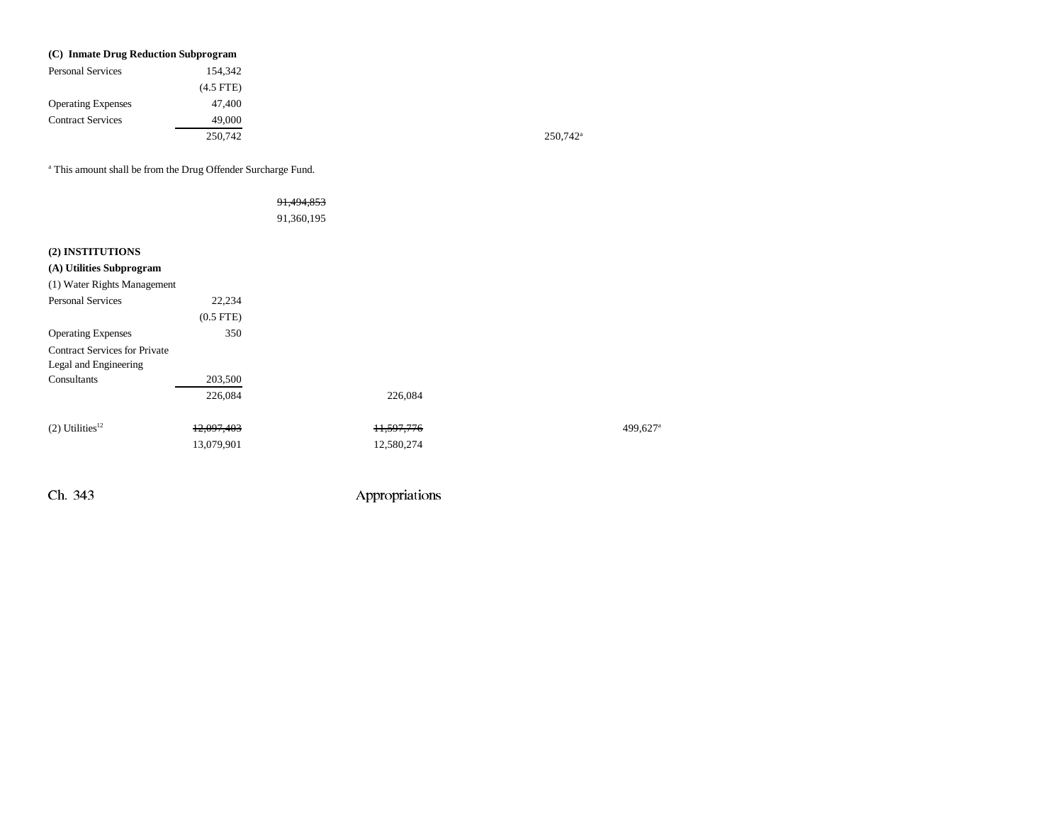| (C) Inmate Drug Reduction Subprogram |                |
|--------------------------------------|----------------|
| <b>Personal Services</b>             | 154,342        |
|                                      | $(4.5$ FTE $)$ |
| <b>Operating Expenses</b>            | 47,400         |
| <b>Contract Services</b>             | 49,000         |
|                                      | 250,742        |

 $250,742$ <sup>a</sup>

a This amount shall be from the Drug Offender Surcharge Fund.

|                                      |                | 91,494,853<br>91,360,195 |            |         |
|--------------------------------------|----------------|--------------------------|------------|---------|
| (2) INSTITUTIONS                     |                |                          |            |         |
| (A) Utilities Subprogram             |                |                          |            |         |
| (1) Water Rights Management          |                |                          |            |         |
| <b>Personal Services</b>             | 22,234         |                          |            |         |
|                                      | $(0.5$ FTE $)$ |                          |            |         |
| <b>Operating Expenses</b>            | 350            |                          |            |         |
| <b>Contract Services for Private</b> |                |                          |            |         |
| Legal and Engineering                |                |                          |            |         |
| Consultants                          | 203,500        |                          |            |         |
|                                      | 226,084        |                          | 226,084    |         |
| $(2)$ Utilities <sup>12</sup>        | 12,097,403     |                          | 11,597,776 | 499,627 |
|                                      | 13,079,901     |                          | 12,580,274 |         |
|                                      |                |                          |            |         |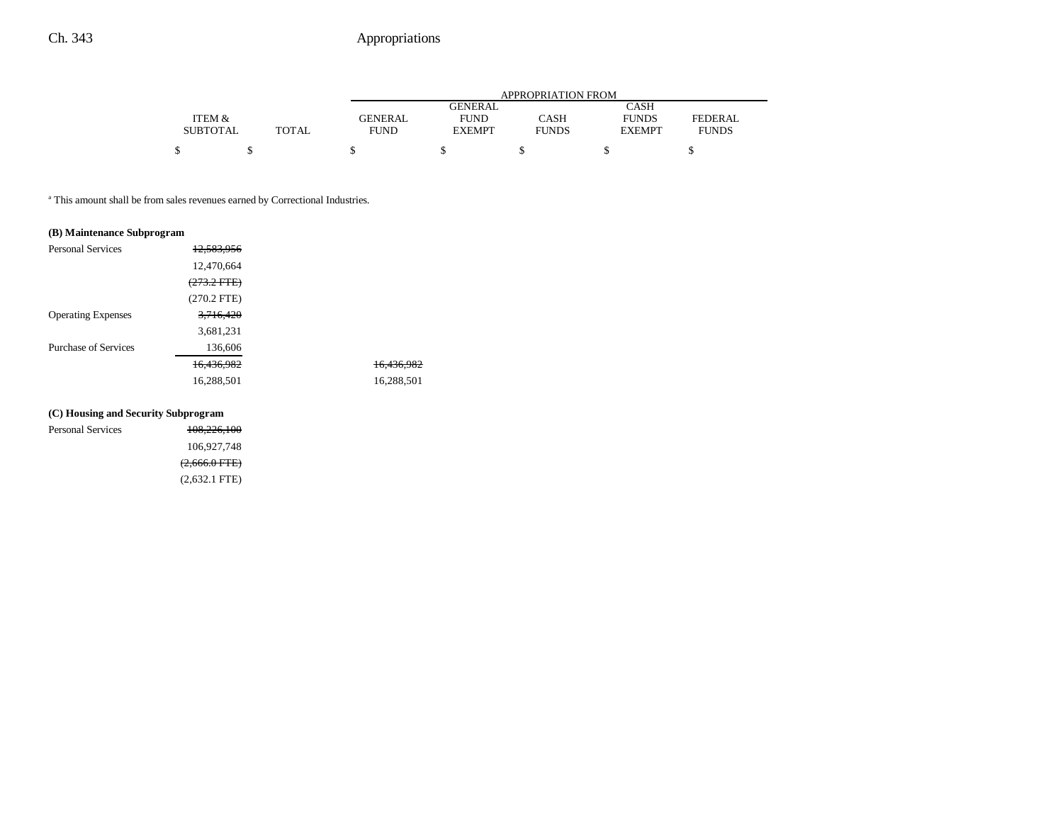|                 |       |             | APPROPRIATION FROM |              |               |                |
|-----------------|-------|-------------|--------------------|--------------|---------------|----------------|
|                 |       |             | <b>GENERAL</b>     |              | <b>CASH</b>   |                |
| ITEM &          |       | GENERAL     | <b>FUND</b>        | <b>CASH</b>  | <b>FUNDS</b>  | <b>FEDERAL</b> |
| <b>SUBTOTAL</b> | TOTAL | <b>FUND</b> | <b>EXEMPT</b>      | <b>FUNDS</b> | <b>EXEMPT</b> | <b>FUNDS</b>   |
|                 |       |             |                    |              |               |                |
|                 |       |             |                    |              |               |                |

a This amount shall be from sales revenues earned by Correctional Industries.

#### **(B) Maintenance Subprogram**

| <b>Personal Services</b>  | 12,583,956             |            |
|---------------------------|------------------------|------------|
|                           | 12,470,664             |            |
|                           | <del>(273.2 FTE)</del> |            |
|                           | $(270.2$ FTE)          |            |
| <b>Operating Expenses</b> | 3,716,420              |            |
|                           | 3,681,231              |            |
| Purchase of Services      | 136,606                |            |
|                           | 16.436.982             | 16.436.982 |
|                           | 16,288,501             | 16,288,501 |
|                           |                        |            |

#### **(C) Housing and Security Subprogram**

| <b>Personal Services</b> | 108,226,100     |
|--------------------------|-----------------|
|                          | 106.927.748     |
|                          | $(2,666.0$ FTE) |
|                          | $(2,632.1$ FTE) |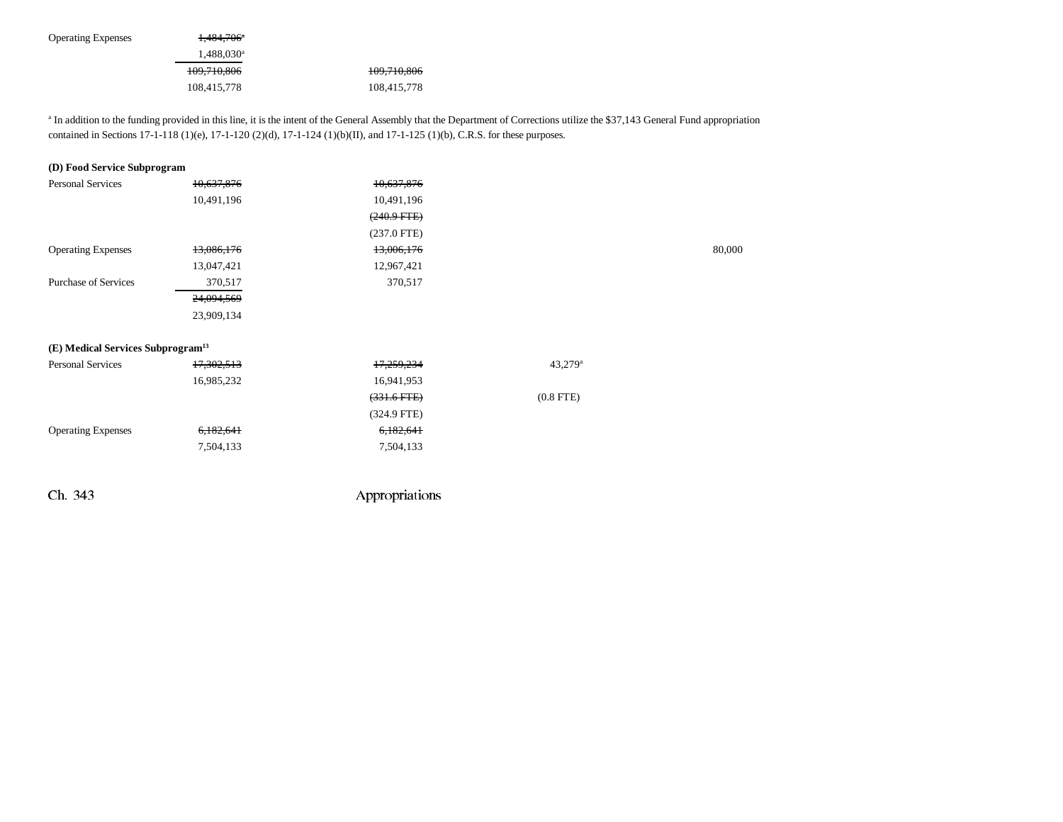| <b>Operating Expenses</b> | 1,484,706 <sup>a</sup> |             |
|---------------------------|------------------------|-------------|
|                           | $1,488,030^a$          |             |
|                           | 109,710,806            | 109,710,806 |
|                           | 108,415,778            | 108,415,778 |

<sup>a</sup> In addition to the funding provided in this line, it is the intent of the General Assembly that the Department of Corrections utilize the \$37,143 General Fund appropriation contained in Sections 17-1-118 (1)(e), 17-1-120 (2)(d), 17-1-124 (1)(b)(II), and 17-1-125 (1)(b), C.R.S. for these purposes.

| (D) Food Service Subprogram                   |            |                |                     |        |
|-----------------------------------------------|------------|----------------|---------------------|--------|
| Personal Services                             | 10,637,876 | 10,637,876     |                     |        |
|                                               | 10,491,196 | 10,491,196     |                     |        |
|                                               |            | $(240.9 + TE)$ |                     |        |
|                                               |            | $(237.0$ FTE)  |                     |        |
| <b>Operating Expenses</b>                     | 13,086,176 | 13,006,176     |                     | 80,000 |
|                                               | 13,047,421 | 12,967,421     |                     |        |
| <b>Purchase of Services</b>                   | 370,517    | 370,517        |                     |        |
|                                               | 24,094,569 |                |                     |        |
|                                               | 23,909,134 |                |                     |        |
|                                               |            |                |                     |        |
| (E) Medical Services Subprogram <sup>13</sup> |            |                |                     |        |
| <b>Personal Services</b>                      | 17,302,513 | 17,259,234     | 43,279 <sup>a</sup> |        |
|                                               | 16,985,232 | 16,941,953     |                     |        |
|                                               |            | $(331.6$ FTE)  | $(0.8$ FTE)         |        |
|                                               |            | $(324.9$ FTE)  |                     |        |
| <b>Operating Expenses</b>                     | 6,182,641  | 6,182,641      |                     |        |
|                                               | 7,504,133  | 7,504,133      |                     |        |
|                                               |            |                |                     |        |
|                                               |            |                |                     |        |
|                                               |            |                |                     |        |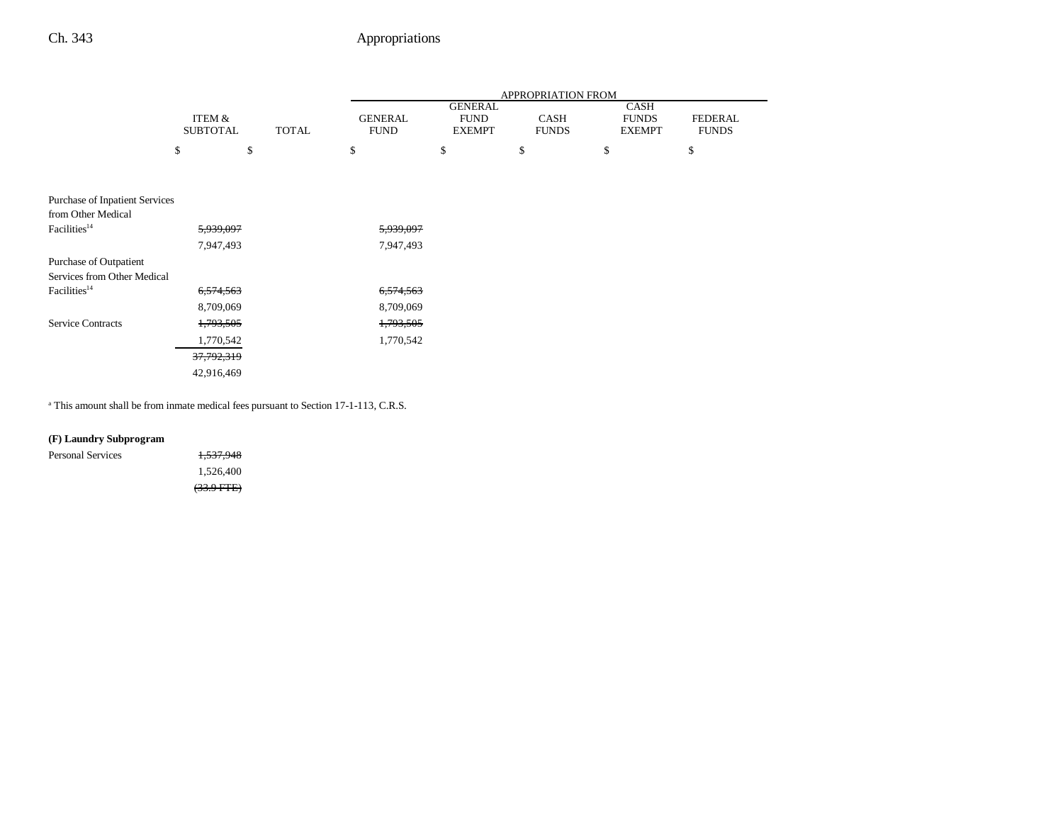|                                |                       |              | APPROPRIATION FROM |                |              |               |                |
|--------------------------------|-----------------------|--------------|--------------------|----------------|--------------|---------------|----------------|
|                                |                       |              |                    | <b>GENERAL</b> |              | <b>CASH</b>   |                |
|                                | ITEM &                |              | <b>GENERAL</b>     | <b>FUND</b>    | <b>CASH</b>  | <b>FUNDS</b>  | <b>FEDERAL</b> |
|                                | <b>SUBTOTAL</b>       | <b>TOTAL</b> | <b>FUND</b>        | <b>EXEMPT</b>  | <b>FUNDS</b> | <b>EXEMPT</b> | <b>FUNDS</b>   |
|                                | \$                    | \$           | \$                 | \$             | \$           | \$            | \$             |
|                                |                       |              |                    |                |              |               |                |
|                                |                       |              |                    |                |              |               |                |
| Purchase of Inpatient Services |                       |              |                    |                |              |               |                |
| from Other Medical             |                       |              |                    |                |              |               |                |
| Facilities <sup>14</sup>       | 5,939,097             |              | 5,939,097          |                |              |               |                |
|                                | 7,947,493             |              | 7,947,493          |                |              |               |                |
| Purchase of Outpatient         |                       |              |                    |                |              |               |                |
| Services from Other Medical    |                       |              |                    |                |              |               |                |
| Facilities <sup>14</sup>       | 6,574,563             |              | 6,574,563          |                |              |               |                |
|                                | 8,709,069             |              | 8,709,069          |                |              |               |                |
| <b>Service Contracts</b>       | 1,793,505             |              | 1,793,505          |                |              |               |                |
|                                | 1,770,542             |              | 1,770,542          |                |              |               |                |
|                                | <del>37,792,319</del> |              |                    |                |              |               |                |
|                                | 42,916,469            |              |                    |                |              |               |                |

a This amount shall be from inmate medical fees pursuant to Section 17-1-113, C.R.S.

#### **(F) Laundry Subprogram**

| Personal Services | <del>1,537,948</del> |
|-------------------|----------------------|
|                   | 1.526.400            |
|                   | $(33.9 \text{ FFE})$ |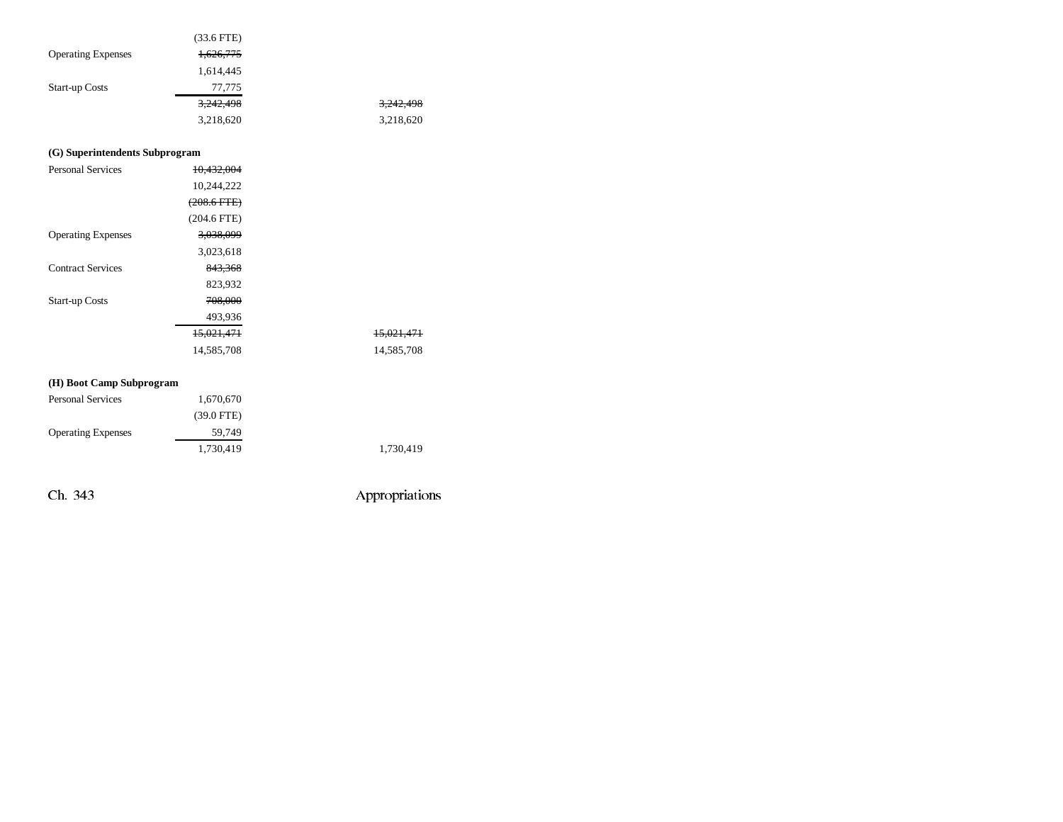|                           | $(33.6$ FTE) |           |
|---------------------------|--------------|-----------|
| <b>Operating Expenses</b> | 1,626,775    |           |
|                           | 1,614,445    |           |
| <b>Start-up Costs</b>     | 77,775       |           |
|                           | 3,242,498    | 3,242,498 |
|                           | 3,218,620    | 3,218,620 |

#### **(G) Superintendents Subprogram**

| <b>Personal Services</b>  | 10.432.004       |                       |
|---------------------------|------------------|-----------------------|
|                           | 10,244,222       |                       |
|                           | $(208.6$ FTE $)$ |                       |
|                           | $(204.6$ FTE)    |                       |
| <b>Operating Expenses</b> | 3,038,099        |                       |
|                           | 3,023,618        |                       |
| <b>Contract Services</b>  | 843,368          |                       |
|                           | 823,932          |                       |
| <b>Start-up Costs</b>     | 708,000          |                       |
|                           | 493,936          |                       |
|                           | 15,021,471       | <del>15,021,471</del> |
|                           | 14,585,708       | 14,585,708            |
|                           |                  |                       |

#### **(H) Boot Camp Subprogram**

| <b>Personal Services</b>  | 1,670,670            |  |
|---------------------------|----------------------|--|
|                           | $(39.0 \text{ FTE})$ |  |
| <b>Operating Expenses</b> | 59.749               |  |
|                           | 1,730,419            |  |

Ch. 343 Appropriations

1,730,419 1,730,419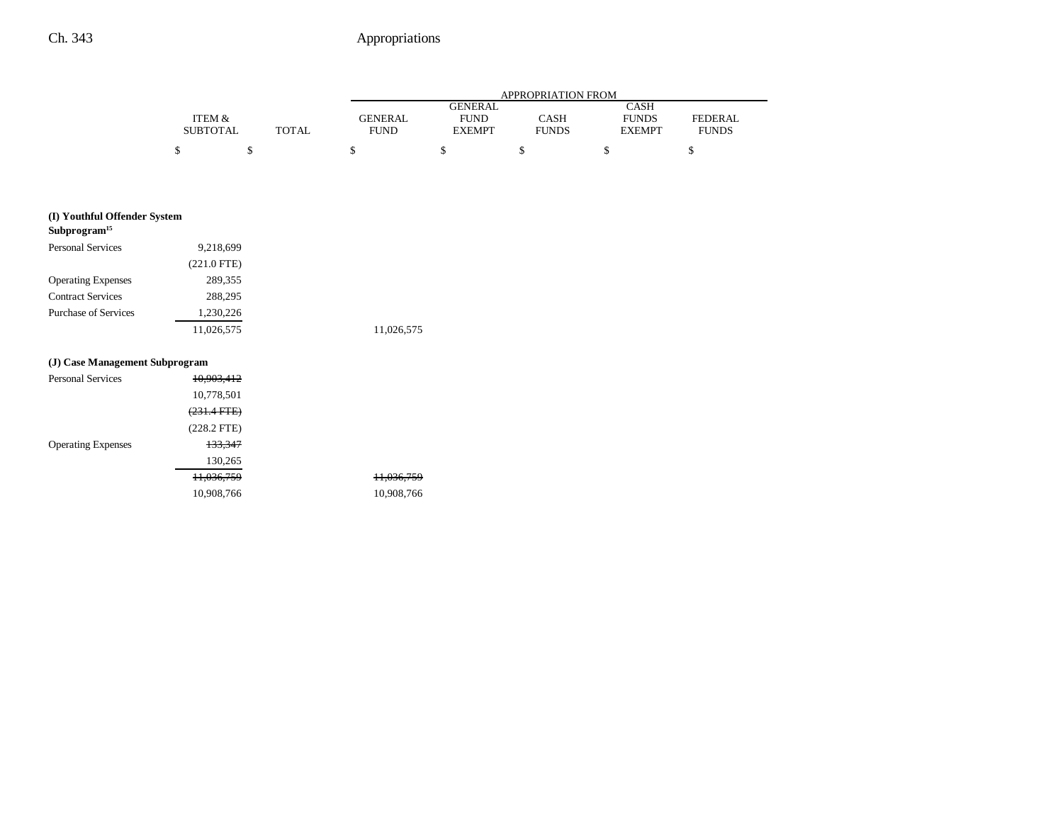11,036,759 11,036,759 10,908,766

|                 |              | APPROPRIATION FROM |               |              |               |                |
|-----------------|--------------|--------------------|---------------|--------------|---------------|----------------|
| CASH<br>GENERAL |              |                    |               |              |               |                |
| ITEM &          |              | <b>GENERAL</b>     | <b>FUND</b>   | CASH         | <b>FUNDS</b>  | <b>FEDERAL</b> |
| <b>SUBTOTAL</b> | <b>TOTAL</b> | <b>FUND</b>        | <b>EXEMPT</b> | <b>FUNDS</b> | <b>EXEMPT</b> | <b>FUNDS</b>   |
| \$              |              |                    |               |              |               |                |

| Subprogram <sup>15</sup>  |               |            |
|---------------------------|---------------|------------|
| <b>Personal Services</b>  | 9,218,699     |            |
|                           | $(221.0$ FTE) |            |
| <b>Operating Expenses</b> | 289,355       |            |
| <b>Contract Services</b>  | 288,295       |            |
| Purchase of Services      | 1.230.226     |            |
|                           | 11,026,575    | 11,026,575 |

#### **(J) Case Management Subprogram**

| <b>Personal Services</b>  | 10,903,412             |  |
|---------------------------|------------------------|--|
|                           | 10,778,501             |  |
|                           | <del>(231.4 FTE)</del> |  |
|                           | $(228.2$ FTE)          |  |
| <b>Operating Expenses</b> | 133,347                |  |
|                           | 130,265                |  |
|                           | <del>11,036,759</del>  |  |
|                           | 10,908,766             |  |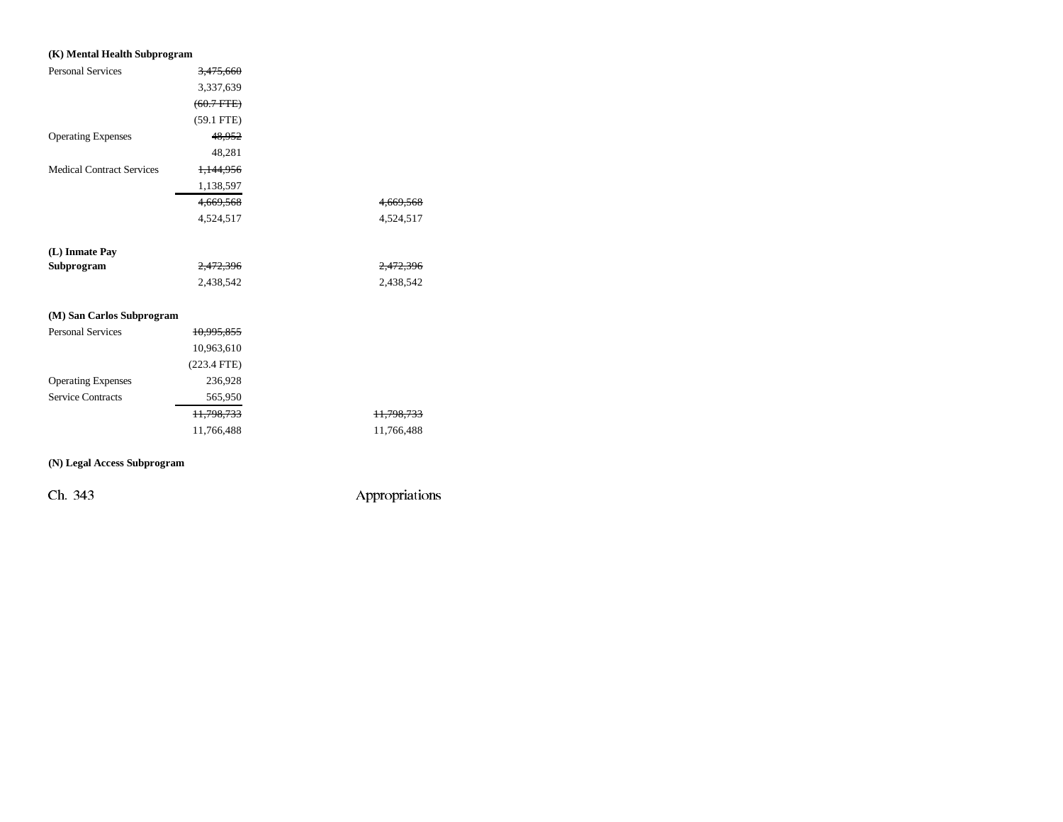| (K) Mental Health Subprogram     |                      |                       |
|----------------------------------|----------------------|-----------------------|
| <b>Personal Services</b>         | <del>3,475,660</del> |                       |
|                                  | 3,337,639            |                       |
|                                  | $(60.7 + FFE)$       |                       |
|                                  | $(59.1$ FTE)         |                       |
| <b>Operating Expenses</b>        | 48,952               |                       |
|                                  | 48,281               |                       |
| <b>Medical Contract Services</b> | 1,144,956            |                       |
|                                  | 1,138,597            |                       |
|                                  | 4,669,568            | 4,669,568             |
|                                  | 4,524,517            | 4,524,517             |
|                                  |                      |                       |
| (L) Inmate Pay                   |                      |                       |
| Subprogram                       | 2,472,396            | <del>2,472,396</del>  |
|                                  | 2,438,542            | 2,438,542             |
|                                  |                      |                       |
| (M) San Carlos Subprogram        |                      |                       |
| <b>Personal Services</b>         | 10,995,855           |                       |
|                                  | 10,963,610           |                       |
|                                  | $(223.4$ FTE)        |                       |
| <b>Operating Expenses</b>        | 236,928              |                       |
| <b>Service Contracts</b>         | 565,950              |                       |
|                                  | 11,798,733           | <del>11,798,733</del> |
|                                  | 11,766,488           | 11,766,488            |

#### **(N) Legal Access Subprogram**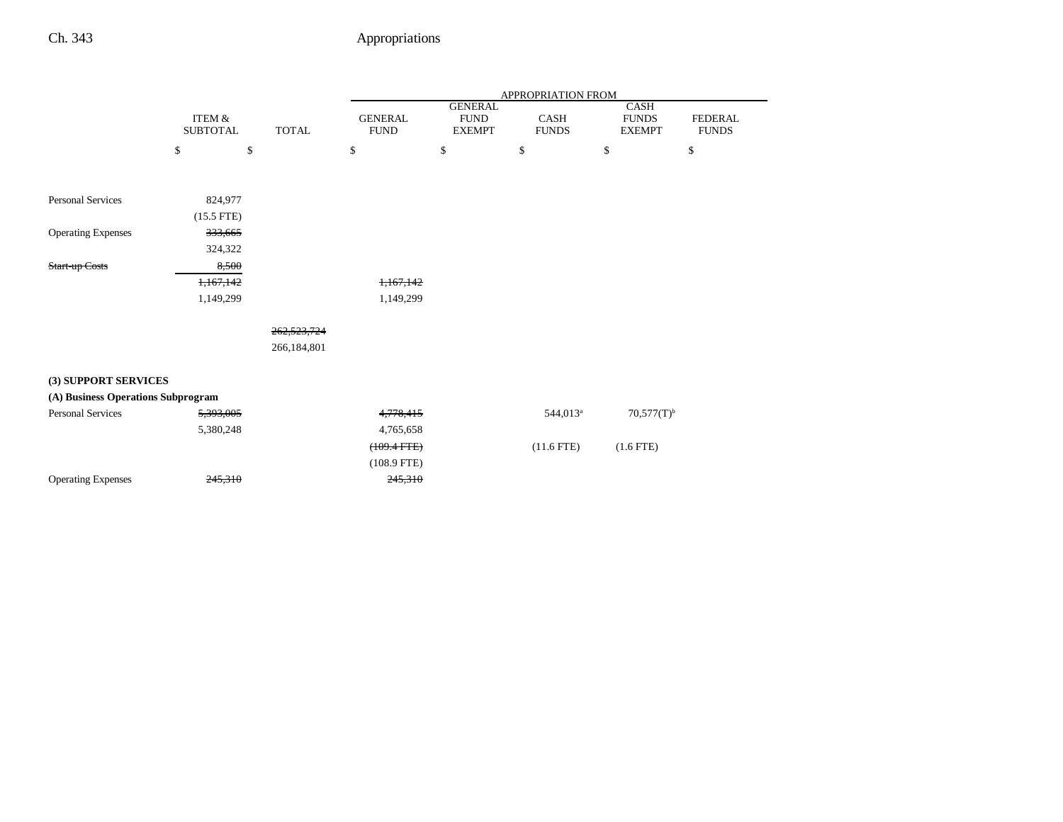|                                    |                                      |              | APPROPRIATION FROM            |                                                |                             |                                       |                                |
|------------------------------------|--------------------------------------|--------------|-------------------------------|------------------------------------------------|-----------------------------|---------------------------------------|--------------------------------|
|                                    | <b>ITEM &amp;</b><br><b>SUBTOTAL</b> | <b>TOTAL</b> | <b>GENERAL</b><br><b>FUND</b> | <b>GENERAL</b><br><b>FUND</b><br><b>EXEMPT</b> | <b>CASH</b><br><b>FUNDS</b> | CASH<br><b>FUNDS</b><br><b>EXEMPT</b> | <b>FEDERAL</b><br><b>FUNDS</b> |
|                                    | \$<br>\$                             |              | \$                            | $\mathbb S$                                    | \$                          | \$                                    | \$                             |
|                                    |                                      |              |                               |                                                |                             |                                       |                                |
| <b>Personal Services</b>           | 824,977                              |              |                               |                                                |                             |                                       |                                |
|                                    | $(15.5$ FTE)                         |              |                               |                                                |                             |                                       |                                |
| <b>Operating Expenses</b>          | 333,665                              |              |                               |                                                |                             |                                       |                                |
|                                    | 324,322                              |              |                               |                                                |                             |                                       |                                |
| Start-up Costs                     | 8,500                                |              |                               |                                                |                             |                                       |                                |
|                                    | 1,167,142                            |              | 1,167,142                     |                                                |                             |                                       |                                |
|                                    | 1,149,299                            |              | 1,149,299                     |                                                |                             |                                       |                                |
|                                    |                                      |              |                               |                                                |                             |                                       |                                |
|                                    |                                      | 262,523,724  |                               |                                                |                             |                                       |                                |
|                                    |                                      | 266,184,801  |                               |                                                |                             |                                       |                                |
| (3) SUPPORT SERVICES               |                                      |              |                               |                                                |                             |                                       |                                |
| (A) Business Operations Subprogram |                                      |              |                               |                                                |                             |                                       |                                |
| <b>Personal Services</b>           | 5,393,005                            |              | 4,778,415                     |                                                | 544,013 <sup>a</sup>        | $70,577(T)^{b}$                       |                                |
|                                    | 5,380,248                            |              | 4,765,658                     |                                                |                             |                                       |                                |
|                                    |                                      |              | $(109.4$ FTE $)$              |                                                | $(11.6$ FTE)                | $(1.6$ FTE)                           |                                |
|                                    |                                      |              | $(108.9$ FTE)                 |                                                |                             |                                       |                                |
| <b>Operating Expenses</b>          | 245,310                              |              | 245,310                       |                                                |                             |                                       |                                |
|                                    |                                      |              |                               |                                                |                             |                                       |                                |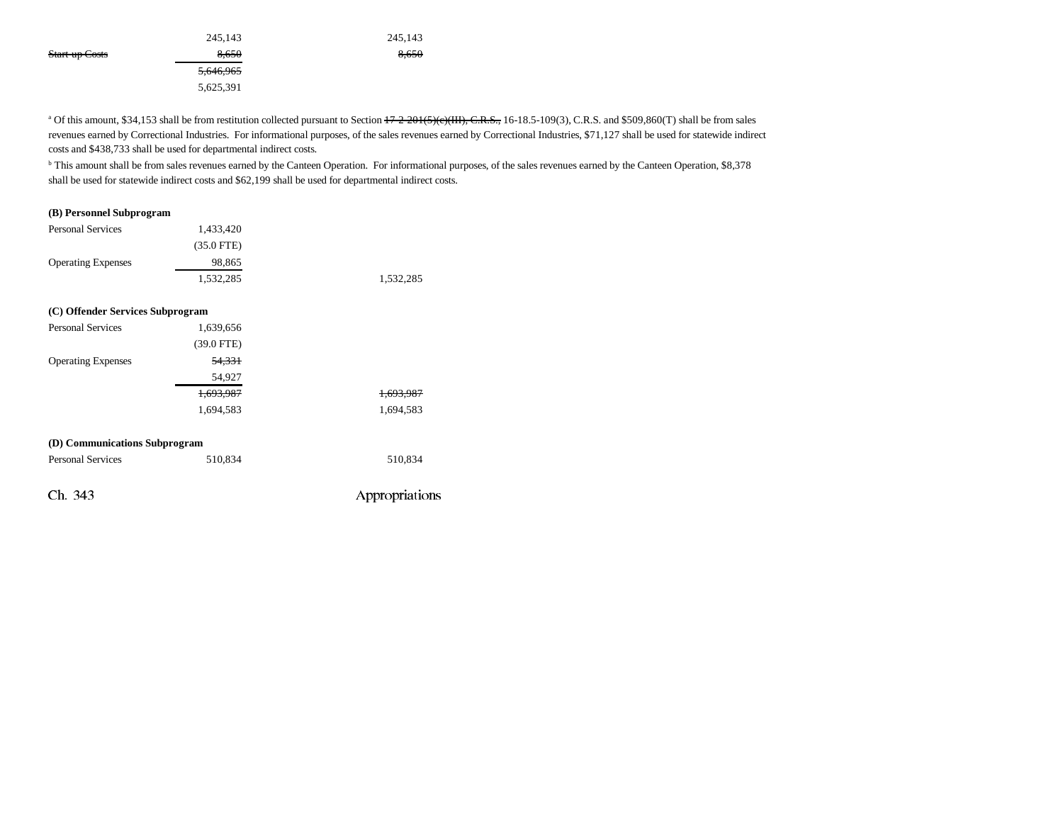|                | 245,143   | 245,143 |
|----------------|-----------|---------|
| Start-up Costs | 8.650     | 8,650   |
|                | 5,646,965 |         |
|                | 5,625,391 |         |

<sup>a</sup> Of this amount, \$34,153 shall be from restitution collected pursuant to Section  $\frac{17-2-201(5)(c)(III)}{17-2}$ ,  $\frac{1}{2}$ , 16-18.5-109(3), C.R.S. and \$509,860(T) shall be from sales revenues earned by Correctional Industries. For informational purposes, of the sales revenues earned by Correctional Industries, \$71,127 shall be used for statewide indirect costs and \$438,733 shall be used for departmental indirect costs.

<sup>b</sup> This amount shall be from sales revenues earned by the Canteen Operation. For informational purposes, of the sales revenues earned by the Canteen Operation, \$8,378 shall be used for statewide indirect costs and \$62,199 shall be used for departmental indirect costs.

#### **(B) Personnel Subprogram**

| <b>Personal Services</b>         | 1,433,420    |                |
|----------------------------------|--------------|----------------|
|                                  | $(35.0$ FTE) |                |
| <b>Operating Expenses</b>        | 98,865       |                |
|                                  | 1,532,285    | 1,532,285      |
|                                  |              |                |
| (C) Offender Services Subprogram |              |                |
| <b>Personal Services</b>         | 1,639,656    |                |
|                                  | $(39.0$ FTE) |                |
| <b>Operating Expenses</b>        | 54,331       |                |
|                                  | 54,927       |                |
|                                  | 1,693,987    | 1.693.987      |
|                                  | 1,694,583    | 1,694,583      |
|                                  |              |                |
| (D) Communications Subprogram    |              |                |
| <b>Personal Services</b>         | 510,834      | 510,834        |
| Ch. 343                          |              | Appropriations |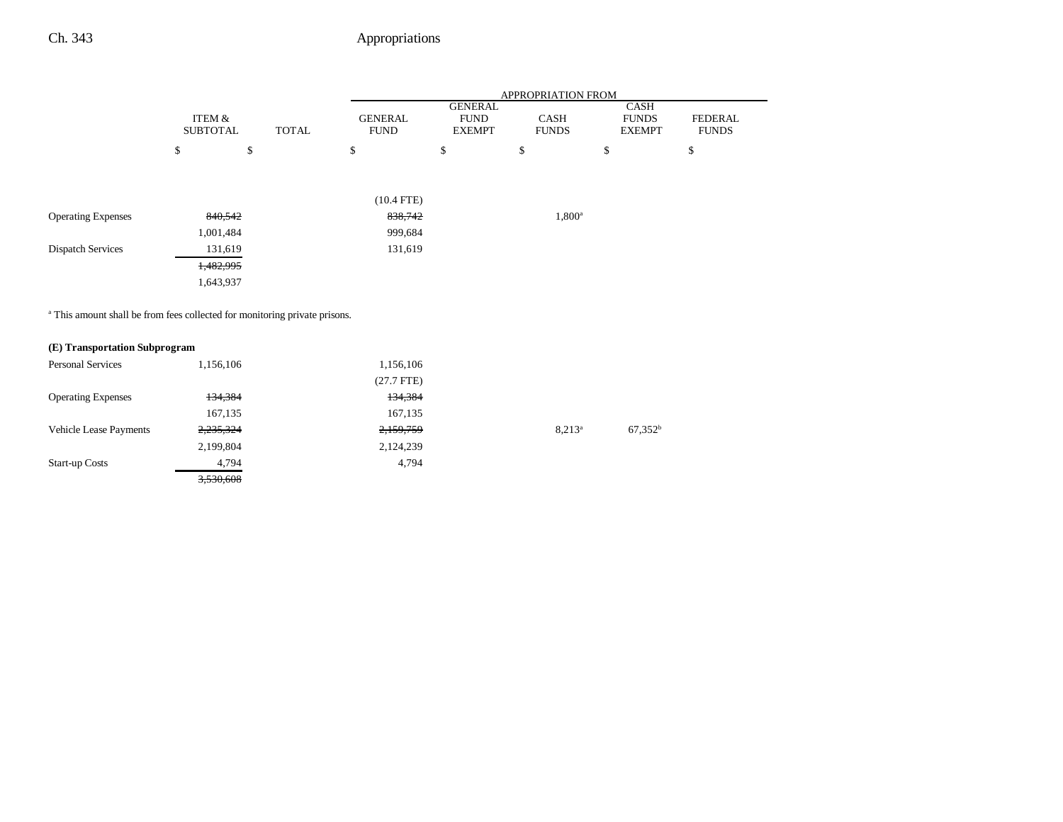|                           |                           |           |              | APPROPRIATION FROM            |                                         |                             |                                              |                                |
|---------------------------|---------------------------|-----------|--------------|-------------------------------|-----------------------------------------|-----------------------------|----------------------------------------------|--------------------------------|
|                           | ITEM &<br><b>SUBTOTAL</b> |           | <b>TOTAL</b> | <b>GENERAL</b><br><b>FUND</b> | GENERAL<br><b>FUND</b><br><b>EXEMPT</b> | <b>CASH</b><br><b>FUNDS</b> | <b>CASH</b><br><b>FUNDS</b><br><b>EXEMPT</b> | <b>FEDERAL</b><br><b>FUNDS</b> |
|                           | \$                        | \$        |              | \$                            | \$                                      | \$                          | \$                                           | \$                             |
|                           |                           |           |              |                               |                                         |                             |                                              |                                |
|                           |                           |           |              | $(10.4$ FTE)                  |                                         |                             |                                              |                                |
| <b>Operating Expenses</b> |                           | 840,542   |              | 838,742                       |                                         | $1,800^{\rm a}$             |                                              |                                |
|                           |                           | 1,001,484 |              | 999,684                       |                                         |                             |                                              |                                |
| <b>Dispatch Services</b>  |                           | 131,619   |              | 131,619                       |                                         |                             |                                              |                                |
|                           |                           | 1,482,995 |              |                               |                                         |                             |                                              |                                |
|                           |                           | 1,643,937 |              |                               |                                         |                             |                                              |                                |
|                           |                           |           |              |                               |                                         |                             |                                              |                                |

<sup>a</sup> This amount shall be from fees collected for monitoring private prisons.

#### **(E) Transportation Subprogram**

| <b>Personal Services</b>      | 1,156,106 | 1,156,106    |           |            |
|-------------------------------|-----------|--------------|-----------|------------|
|                               |           | $(27.7$ FTE) |           |            |
| <b>Operating Expenses</b>     | 134,384   | 134,384      |           |            |
|                               | 167,135   | 167,135      |           |            |
| <b>Vehicle Lease Payments</b> | 2,235,324 | 2,159,759    | $8.213^a$ | $67,352^b$ |
|                               | 2,199,804 | 2,124,239    |           |            |
| <b>Start-up Costs</b>         | 4,794     | 4,794        |           |            |
|                               | 3,530,608 |              |           |            |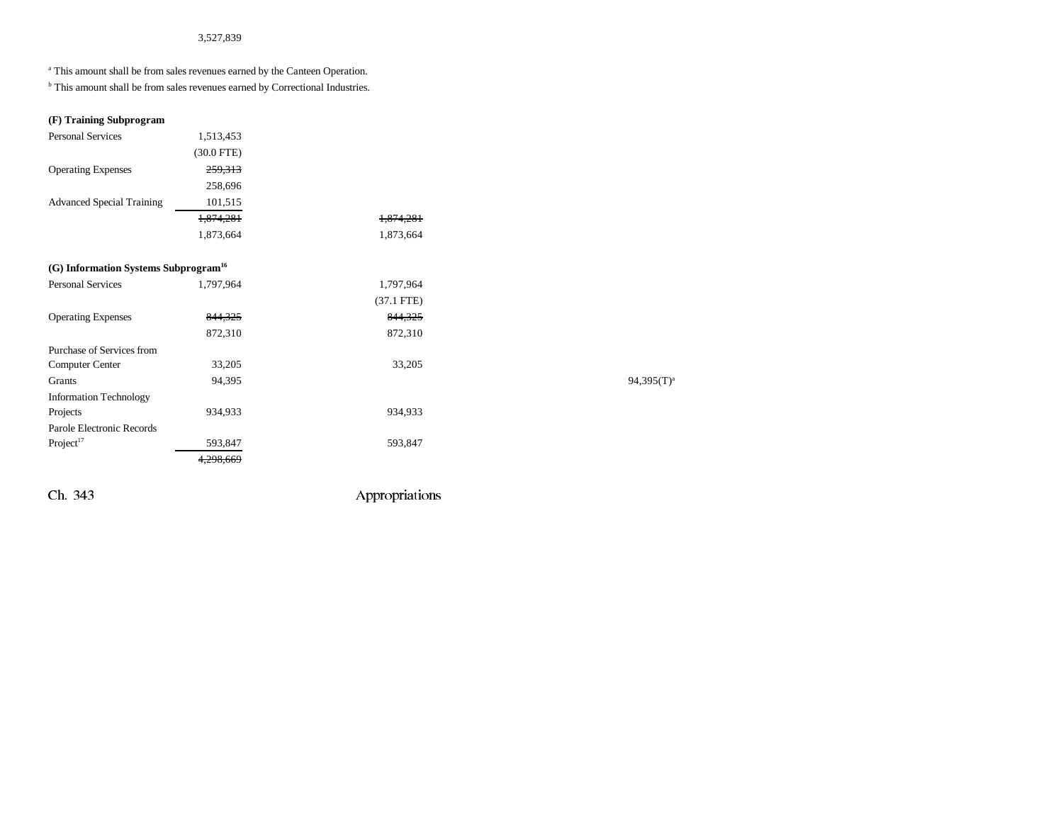#### 3,527,839

<sup>a</sup> This amount shall be from sales revenues earned by the Canteen Operation.

**b** This amount shall be from sales revenues earned by Correctional Industries.

#### **(F) Training Subprogram**

| <b>Personal Services</b>                         | 1,513,453    |              |               |
|--------------------------------------------------|--------------|--------------|---------------|
|                                                  | $(30.0$ FTE) |              |               |
| <b>Operating Expenses</b>                        | 259,313      |              |               |
|                                                  | 258,696      |              |               |
| <b>Advanced Special Training</b>                 | 101,515      |              |               |
|                                                  | 1,874,281    | 1,874,281    |               |
|                                                  | 1,873,664    | 1,873,664    |               |
| (G) Information Systems Subprogram <sup>16</sup> |              |              |               |
| <b>Personal Services</b>                         | 1,797,964    | 1,797,964    |               |
|                                                  |              | $(37.1$ FTE) |               |
| <b>Operating Expenses</b>                        | 844,325      | 844,325      |               |
|                                                  | 872,310      | 872,310      |               |
| Purchase of Services from                        |              |              |               |
| Computer Center                                  | 33,205       | 33,205       |               |
| Grants                                           | 94,395       |              | $94,395(T)^3$ |
| <b>Information Technology</b>                    |              |              |               |
| Projects                                         | 934,933      | 934,933      |               |
| Parole Electronic Records                        |              |              |               |
| Project <sup>17</sup>                            | 593,847      | 593,847      |               |
|                                                  | 4,298,669    |              |               |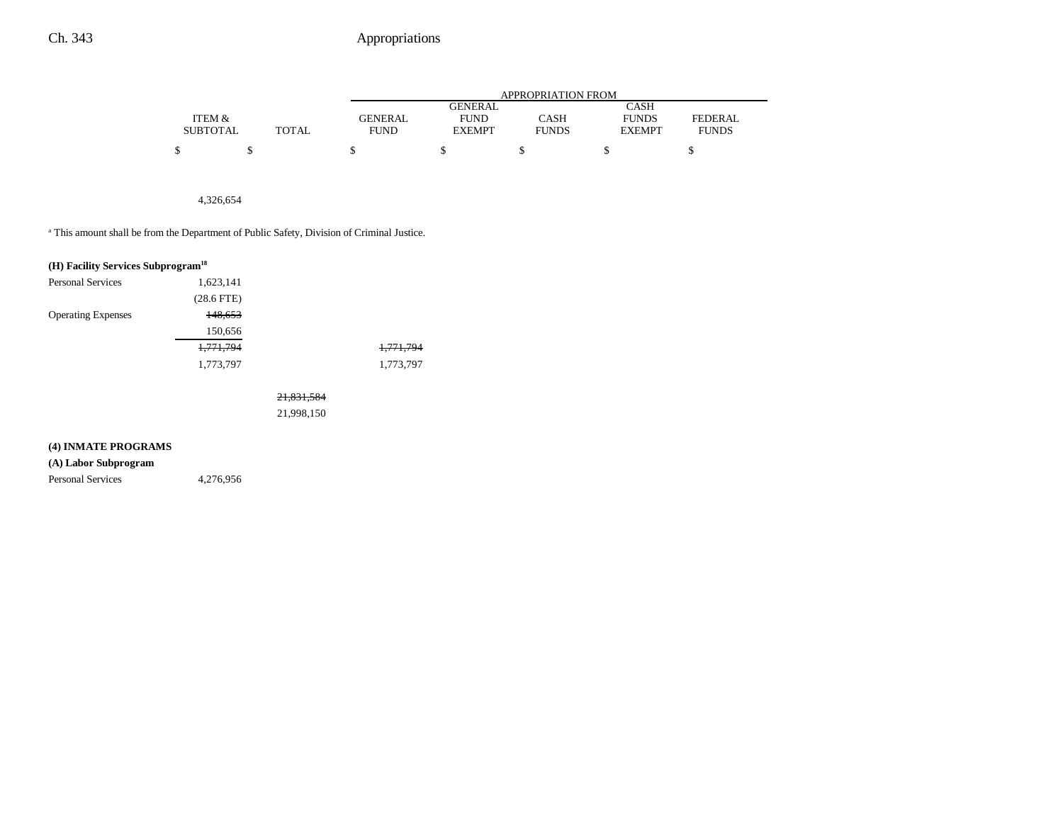|                 |        |                |                | APPROPRIATION FROM |               |              |
|-----------------|--------|----------------|----------------|--------------------|---------------|--------------|
|                 |        |                | <b>GENERAL</b> |                    | CASH          |              |
| ITEM &          |        | <b>GENERAL</b> | <b>FUND</b>    | CASH               | <b>FUNDS</b>  | FEDERAL      |
| <b>SUBTOTAL</b> | TOTAL. | <b>FUND</b>    | <b>EXEMPT</b>  | <b>FUNDS</b>       | <b>EXEMPT</b> | <b>FUNDS</b> |
|                 |        |                |                |                    |               |              |

4,326,654

<sup>a</sup> This amount shall be from the Department of Public Safety, Division of Criminal Justice.

|                           | (H) Facility Services Subprogram <sup>18</sup> |            |           |  |  |  |
|---------------------------|------------------------------------------------|------------|-----------|--|--|--|
| <b>Personal Services</b>  | 1,623,141                                      |            |           |  |  |  |
|                           | $(28.6$ FTE $)$                                |            |           |  |  |  |
| <b>Operating Expenses</b> | 148,653                                        |            |           |  |  |  |
|                           | 150,656                                        |            |           |  |  |  |
|                           | 1,771,794                                      |            | 1,771,794 |  |  |  |
|                           | 1,773,797                                      |            | 1,773,797 |  |  |  |
|                           |                                                |            |           |  |  |  |
|                           |                                                | 21,831,584 |           |  |  |  |
|                           |                                                | 21,998,150 |           |  |  |  |
|                           |                                                |            |           |  |  |  |
| (4) INMATE PROGRAMS       |                                                |            |           |  |  |  |

#### **(A) Labor Subprogram**

Personal Services 4,276,956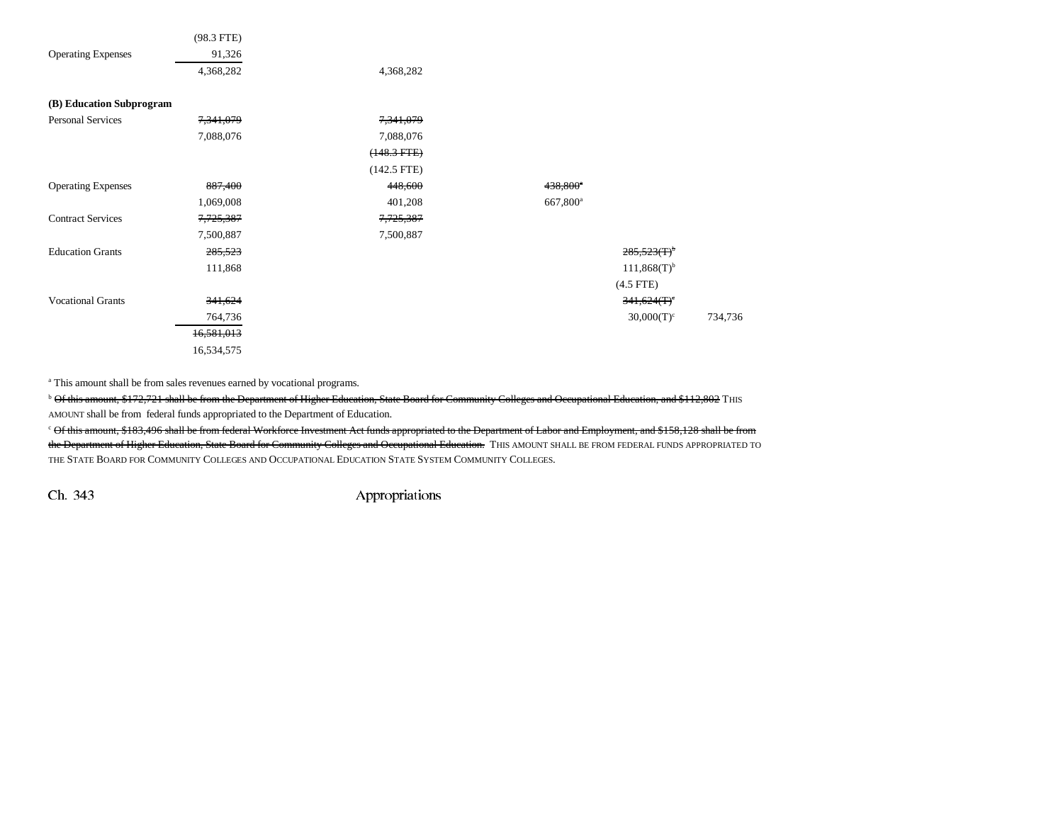|                           | $(98.3$ FTE)         |               |                        |         |
|---------------------------|----------------------|---------------|------------------------|---------|
| <b>Operating Expenses</b> | 91,326               |               |                        |         |
|                           | 4,368,282            | 4,368,282     |                        |         |
| (B) Education Subprogram  |                      |               |                        |         |
| <b>Personal Services</b>  | 7,341,079            | 7,341,079     |                        |         |
|                           | 7,088,076            | 7,088,076     |                        |         |
|                           |                      | $(148.3 FTE)$ |                        |         |
|                           |                      | $(142.5$ FTE) |                        |         |
| <b>Operating Expenses</b> | 887,400              | 448,600       | 438,800 <sup>e</sup>   |         |
|                           | 1,069,008            | 401,208       | $667,800$ <sup>a</sup> |         |
| <b>Contract Services</b>  | <del>7,725,387</del> | 7,725,387     |                        |         |
|                           | 7,500,887            | 7,500,887     |                        |         |
| <b>Education Grants</b>   | 285,523              |               | $285,523(F)^{b}$       |         |
|                           | 111,868              |               | $111,868(T)^{b}$       |         |
|                           |                      |               | $(4.5$ FTE)            |         |
| <b>Vocational Grants</b>  | 341,624              |               | 341,624(T)             |         |
|                           | 764,736              |               | $30,000(T)^c$          | 734,736 |
|                           | 16,581,013           |               |                        |         |
|                           | 16,534,575           |               |                        |         |

<sup>a</sup> This amount shall be from sales revenues earned by vocational programs.

 $^{\rm b}$  Of this amount, \$172,721 shall be from the Department of Higher Education, State Board for Community Colleges and Occupational Education, and \$112,802 THIS AMOUNT shall be from federal funds appropriated to the Department of Education.

c Of this amount, \$183,496 shall be from federal Workforce Investment Act funds appropriated to the Department of Labor and Employment, and \$158,128 shall be from the Department of Higher Education, State Board for Community Colleges and Occupational Education. THIS AMOUNT SHALL BE FROM FEDERAL FUNDS APPROPRIATED TO THE STATE BOARD FOR COMMUNITY COLLEGES AND OCCUPATIONAL EDUCATION STATE SYSTEM COMMUNITY COLLEGES.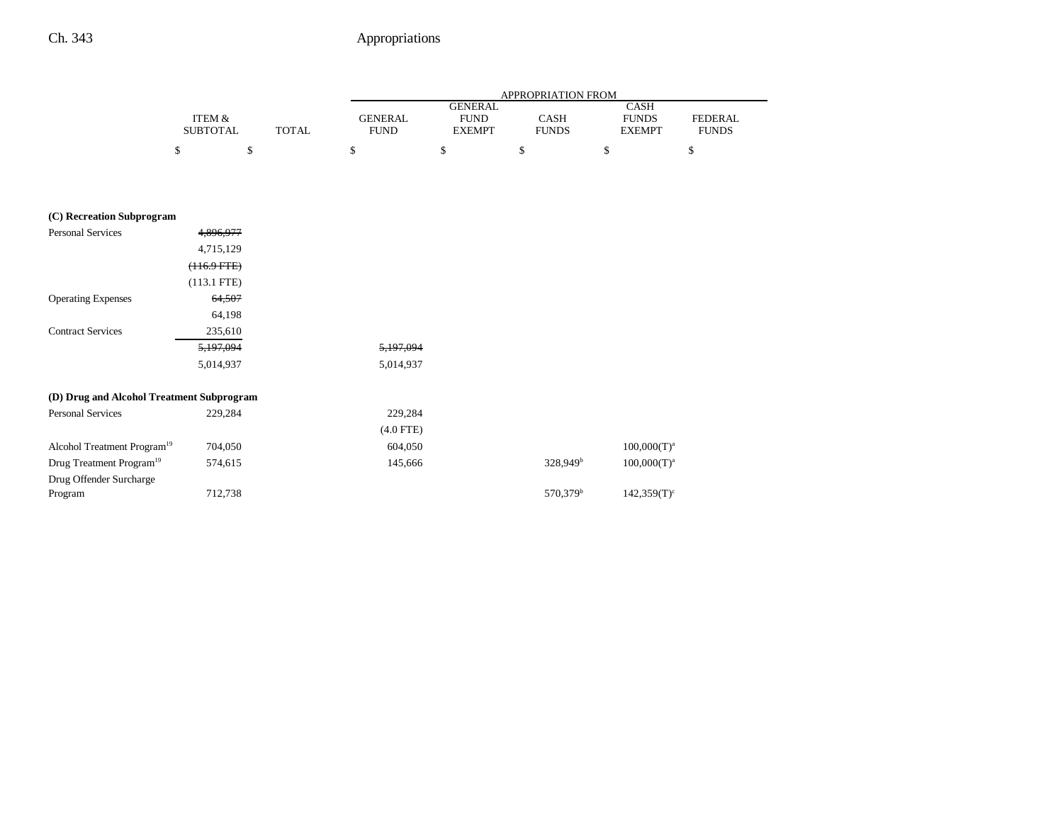|                                           |                                      |              |                               |                | APPROPRIATION FROM   |                           |                |
|-------------------------------------------|--------------------------------------|--------------|-------------------------------|----------------|----------------------|---------------------------|----------------|
|                                           |                                      |              |                               | <b>GENERAL</b> |                      | <b>CASH</b>               |                |
|                                           | <b>ITEM &amp;</b><br><b>SUBTOTAL</b> | <b>TOTAL</b> | <b>GENERAL</b><br><b>FUND</b> | <b>FUND</b>    | CASH<br><b>FUNDS</b> | <b>FUNDS</b>              | <b>FEDERAL</b> |
|                                           |                                      |              |                               | <b>EXEMPT</b>  |                      | <b>EXEMPT</b>             | <b>FUNDS</b>   |
|                                           | \$                                   | \$           | \$                            | \$             | \$                   | \$                        | \$             |
|                                           |                                      |              |                               |                |                      |                           |                |
|                                           |                                      |              |                               |                |                      |                           |                |
| (C) Recreation Subprogram                 |                                      |              |                               |                |                      |                           |                |
| <b>Personal Services</b>                  | 4,896,977                            |              |                               |                |                      |                           |                |
|                                           | 4,715,129                            |              |                               |                |                      |                           |                |
|                                           | $(116.9 FTE)$                        |              |                               |                |                      |                           |                |
|                                           | $(113.1$ FTE)                        |              |                               |                |                      |                           |                |
| <b>Operating Expenses</b>                 | 64,507                               |              |                               |                |                      |                           |                |
|                                           | 64,198                               |              |                               |                |                      |                           |                |
| <b>Contract Services</b>                  | 235,610                              |              |                               |                |                      |                           |                |
|                                           | 5,197,094                            |              | 5,197,094                     |                |                      |                           |                |
|                                           | 5,014,937                            |              | 5,014,937                     |                |                      |                           |                |
|                                           |                                      |              |                               |                |                      |                           |                |
| (D) Drug and Alcohol Treatment Subprogram |                                      |              |                               |                |                      |                           |                |
| <b>Personal Services</b>                  | 229,284                              |              | 229,284                       |                |                      |                           |                |
|                                           |                                      |              | $(4.0$ FTE)                   |                |                      |                           |                |
| Alcohol Treatment Program <sup>19</sup>   | 704,050                              |              | 604,050                       |                |                      | $100,000(T)^a$            |                |
| Drug Treatment Program <sup>19</sup>      | 574,615                              |              | 145,666                       |                | 328,949 <sup>b</sup> | $100,000(T)^a$            |                |
| Drug Offender Surcharge                   |                                      |              |                               |                |                      |                           |                |
| Program                                   | 712,738                              |              |                               |                | 570,379 <sup>b</sup> | $142,359(T)$ <sup>c</sup> |                |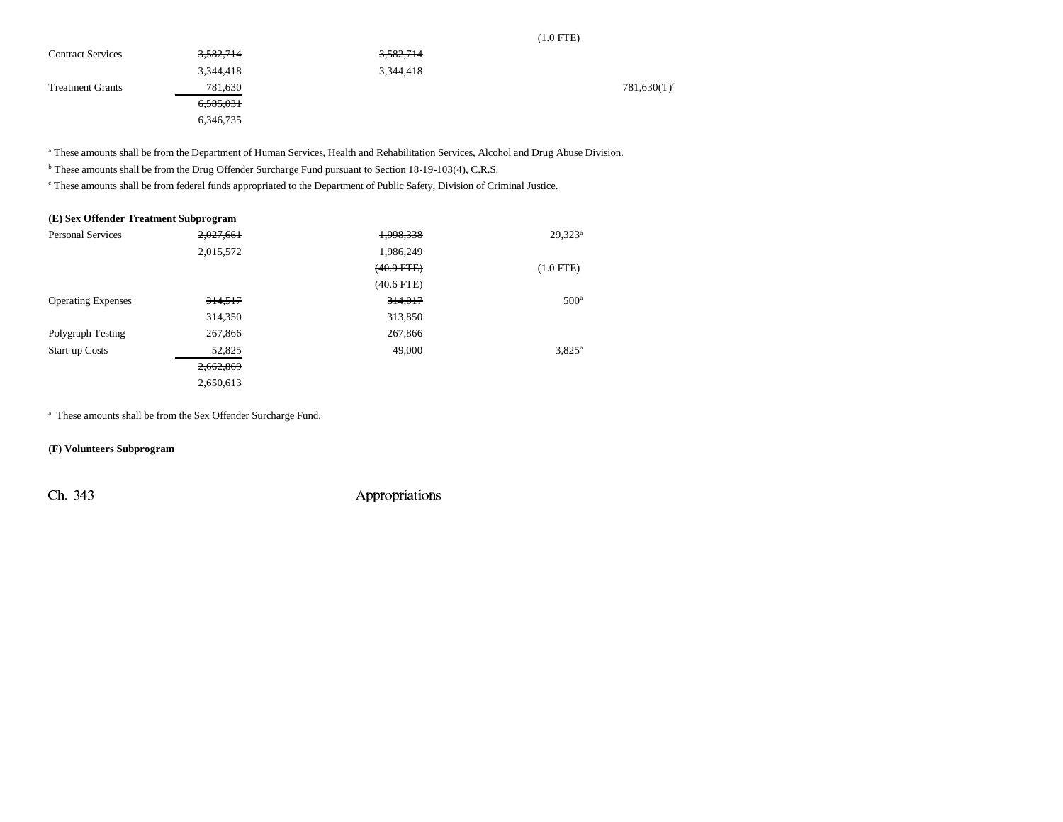|  | Ņ |
|--|---|
|  |   |

| <b>Contract Services</b> | <del>3,582,714</del> | <del>3.582,714</del> |                |
|--------------------------|----------------------|----------------------|----------------|
|                          | 3,344,418            | 3,344,418            |                |
| <b>Treatment Grants</b>  | 781,630              |                      | $781,630(T)^c$ |
|                          | <del>6,585,031</del> |                      |                |
|                          | 6,346,735            |                      |                |

<sup>a</sup> These amounts shall be from the Department of Human Services, Health and Rehabilitation Services, Alcohol and Drug Abuse Division.

b These amounts shall be from the Drug Offender Surcharge Fund pursuant to Section 18-19-103(4), C.R.S.

c These amounts shall be from federal funds appropriated to the Department of Public Safety, Division of Criminal Justice.

| (E) Sex Offender Treatment Subprogram |           |                 |                  |
|---------------------------------------|-----------|-----------------|------------------|
| <b>Personal Services</b>              | 2,027,661 | 1,998,338       | $29,323^a$       |
|                                       | 2,015,572 | 1,986,249       |                  |
|                                       |           | $(40.9$ FTE $)$ | $(1.0$ FTE)      |
|                                       |           | $(40.6$ FTE)    |                  |
| <b>Operating Expenses</b>             | 314,517   | 314,017         | 500 <sup>a</sup> |
|                                       | 314,350   | 313,850         |                  |
| Polygraph Testing                     | 267,866   | 267,866         |                  |
| <b>Start-up Costs</b>                 | 52,825    | 49,000          | $3.825^a$        |
|                                       | 2,662,869 |                 |                  |
|                                       | 2,650,613 |                 |                  |

a These amounts shall be from the Sex Offender Surcharge Fund.

#### **(F) Volunteers Subprogram**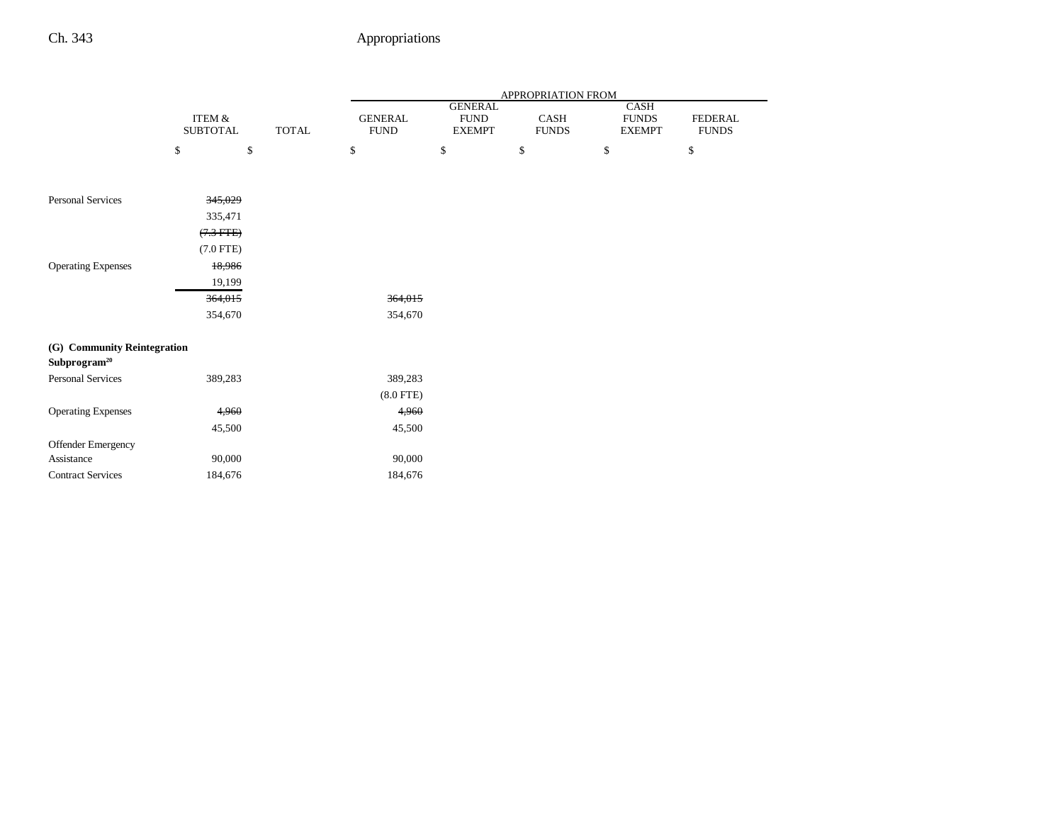|                                                         |                           |              |                               |                                                 | APPROPRIATION FROM   |                                       |                                |
|---------------------------------------------------------|---------------------------|--------------|-------------------------------|-------------------------------------------------|----------------------|---------------------------------------|--------------------------------|
|                                                         | ITEM &<br><b>SUBTOTAL</b> | <b>TOTAL</b> | <b>GENERAL</b><br><b>FUND</b> | <b>GENERAL</b><br>${\rm FUND}$<br><b>EXEMPT</b> | CASH<br><b>FUNDS</b> | CASH<br><b>FUNDS</b><br><b>EXEMPT</b> | <b>FEDERAL</b><br><b>FUNDS</b> |
|                                                         | \$<br>\$                  |              | \$                            | \$                                              | \$                   | \$                                    | \$                             |
| <b>Personal Services</b>                                | 345,029                   |              |                               |                                                 |                      |                                       |                                |
|                                                         | 335,471                   |              |                               |                                                 |                      |                                       |                                |
|                                                         | $(7.3$ FTE)               |              |                               |                                                 |                      |                                       |                                |
|                                                         | $(7.0$ FTE)               |              |                               |                                                 |                      |                                       |                                |
| <b>Operating Expenses</b>                               | 18,986                    |              |                               |                                                 |                      |                                       |                                |
|                                                         | 19,199                    |              |                               |                                                 |                      |                                       |                                |
|                                                         | 364,015                   |              | 364,015                       |                                                 |                      |                                       |                                |
|                                                         | 354,670                   |              | 354,670                       |                                                 |                      |                                       |                                |
| (G) Community Reintegration<br>Subprogram <sup>20</sup> |                           |              |                               |                                                 |                      |                                       |                                |
| <b>Personal Services</b>                                | 389,283                   |              | 389,283                       |                                                 |                      |                                       |                                |
|                                                         |                           |              | $(8.0$ FTE)                   |                                                 |                      |                                       |                                |
| <b>Operating Expenses</b>                               | 4,960                     |              | 4,960                         |                                                 |                      |                                       |                                |
|                                                         | 45,500                    |              | 45,500                        |                                                 |                      |                                       |                                |
| Offender Emergency                                      |                           |              |                               |                                                 |                      |                                       |                                |
| Assistance                                              | 90,000                    |              | 90,000                        |                                                 |                      |                                       |                                |
| <b>Contract Services</b>                                | 184,676                   |              | 184,676                       |                                                 |                      |                                       |                                |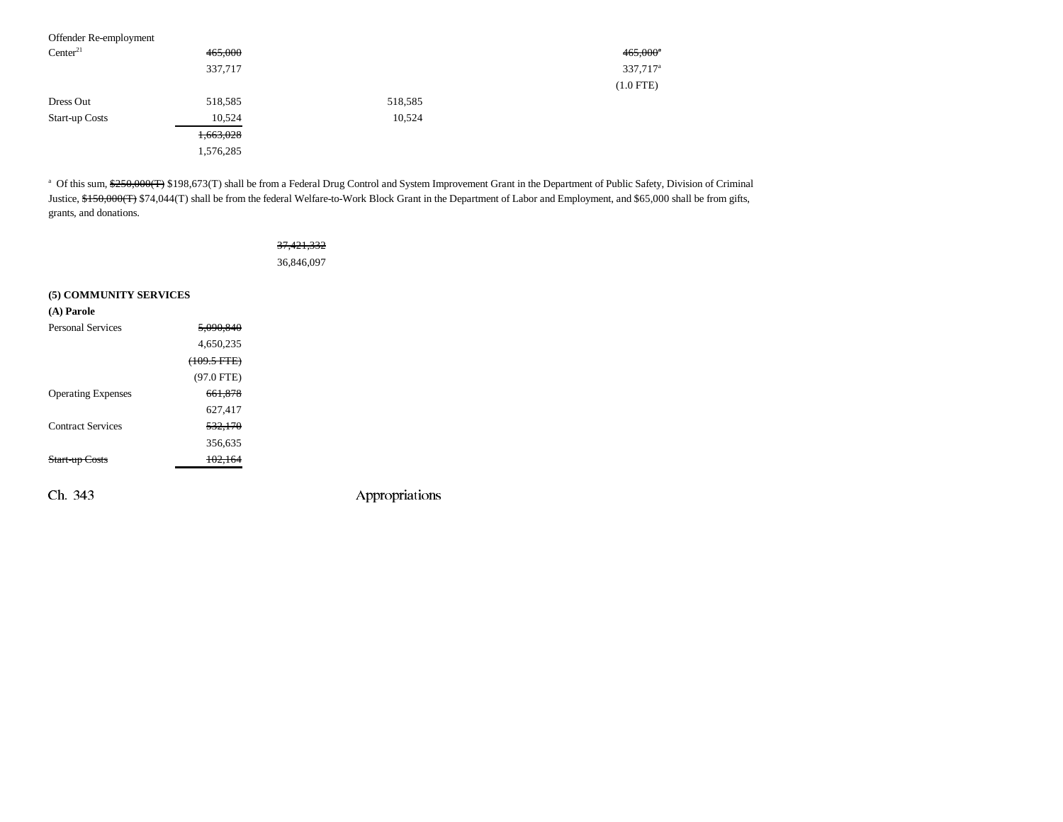| Offender Re-employment |           |         |                        |
|------------------------|-----------|---------|------------------------|
| Center <sup>21</sup>   | 465,000   |         | $465,000$ <sup>a</sup> |
|                        | 337,717   |         | 337,717 <sup>a</sup>   |
|                        |           |         | $(1.0$ FTE)            |
| Dress Out              | 518,585   | 518,585 |                        |
| <b>Start-up Costs</b>  | 10,524    | 10,524  |                        |
|                        | 1,663,028 |         |                        |
|                        | 1,576,285 |         |                        |

<sup>a</sup> Of this sum, \$250,000(T) \$198,673(T) shall be from a Federal Drug Control and System Improvement Grant in the Department of Public Safety, Division of Criminal Justice, \$150,000(T) \$74,044(T) shall be from the federal Welfare-to-Work Block Grant in the Department of Labor and Employment, and \$65,000 shall be from gifts, grants, and donations.

| 37, 421, 332 |  |
|--------------|--|
| 36,846,097   |  |

#### **(5) COMMUNITY SERVICES**

| (A) Parole                     |               |  |
|--------------------------------|---------------|--|
| <b>Personal Services</b>       | 5.090.840     |  |
|                                | 4,650,235     |  |
|                                | $(109.5 FTE)$ |  |
|                                | $(97.0$ FTE)  |  |
| <b>Operating Expenses</b>      | 661.878       |  |
|                                | 627,417       |  |
| <b>Contract Services</b>       | 532.170       |  |
|                                | 356,635       |  |
| <del>Start-up C</del><br>`osts | 102.164       |  |
|                                |               |  |
|                                |               |  |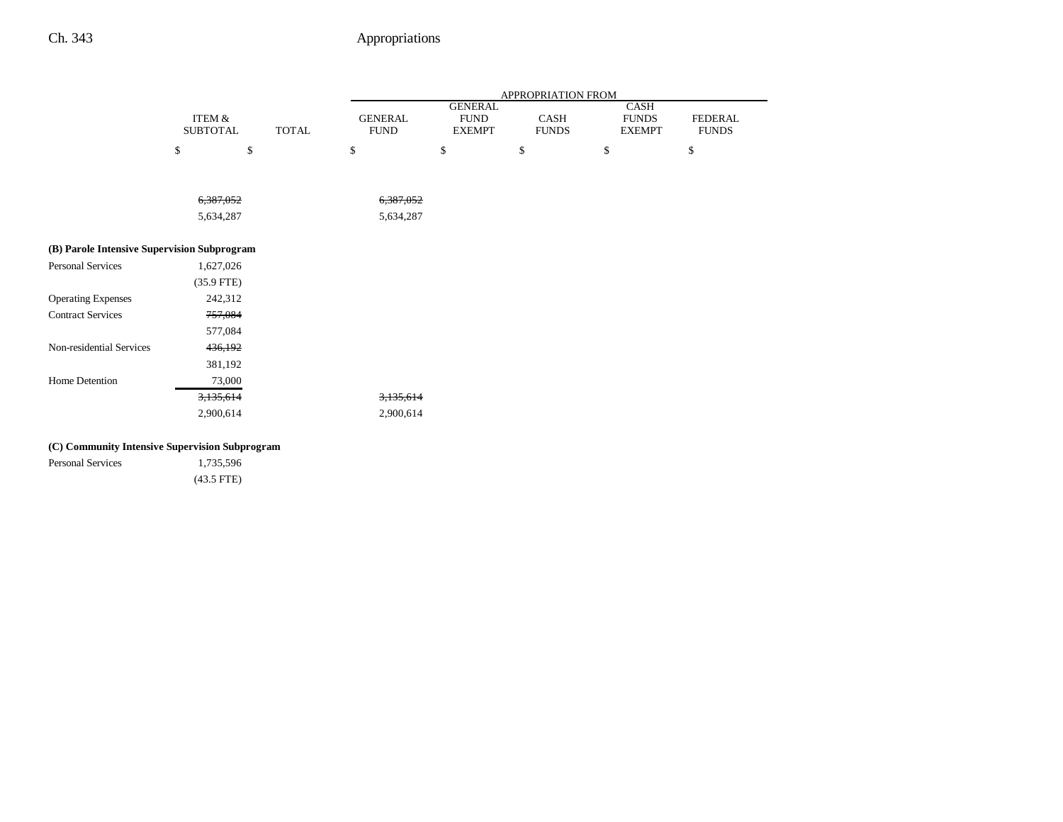|                                                |                                      |              | APPROPRIATION FROM            |                                                |                      |                                       |                                |  |
|------------------------------------------------|--------------------------------------|--------------|-------------------------------|------------------------------------------------|----------------------|---------------------------------------|--------------------------------|--|
|                                                | <b>ITEM &amp;</b><br><b>SUBTOTAL</b> | <b>TOTAL</b> | <b>GENERAL</b><br><b>FUND</b> | <b>GENERAL</b><br><b>FUND</b><br><b>EXEMPT</b> | CASH<br><b>FUNDS</b> | CASH<br><b>FUNDS</b><br><b>EXEMPT</b> | <b>FEDERAL</b><br><b>FUNDS</b> |  |
|                                                | \$<br>\$                             |              | \$                            | \$                                             | \$                   | \$                                    | \$                             |  |
|                                                |                                      |              |                               |                                                |                      |                                       |                                |  |
|                                                | 6,387,052                            |              | 6,387,052                     |                                                |                      |                                       |                                |  |
|                                                | 5,634,287                            |              | 5,634,287                     |                                                |                      |                                       |                                |  |
|                                                |                                      |              |                               |                                                |                      |                                       |                                |  |
| (B) Parole Intensive Supervision Subprogram    |                                      |              |                               |                                                |                      |                                       |                                |  |
| <b>Personal Services</b>                       | 1,627,026                            |              |                               |                                                |                      |                                       |                                |  |
|                                                | $(35.9$ FTE)                         |              |                               |                                                |                      |                                       |                                |  |
| <b>Operating Expenses</b>                      | 242,312                              |              |                               |                                                |                      |                                       |                                |  |
| <b>Contract Services</b>                       | 757,084                              |              |                               |                                                |                      |                                       |                                |  |
|                                                | 577,084                              |              |                               |                                                |                      |                                       |                                |  |
| Non-residential Services                       | 436,192                              |              |                               |                                                |                      |                                       |                                |  |
|                                                | 381,192                              |              |                               |                                                |                      |                                       |                                |  |
| Home Detention                                 | 73,000                               |              |                               |                                                |                      |                                       |                                |  |
|                                                | 3,135,614                            |              | 3,135,614                     |                                                |                      |                                       |                                |  |
|                                                | 2,900,614                            |              | 2,900,614                     |                                                |                      |                                       |                                |  |
| (C) Community Intensive Supervision Subprogram |                                      |              |                               |                                                |                      |                                       |                                |  |
| <b>Personal Services</b>                       | 1,735,596                            |              |                               |                                                |                      |                                       |                                |  |

| <b>Personal Services</b> | 1,735,596    |
|--------------------------|--------------|
|                          | $(43.5$ FTE) |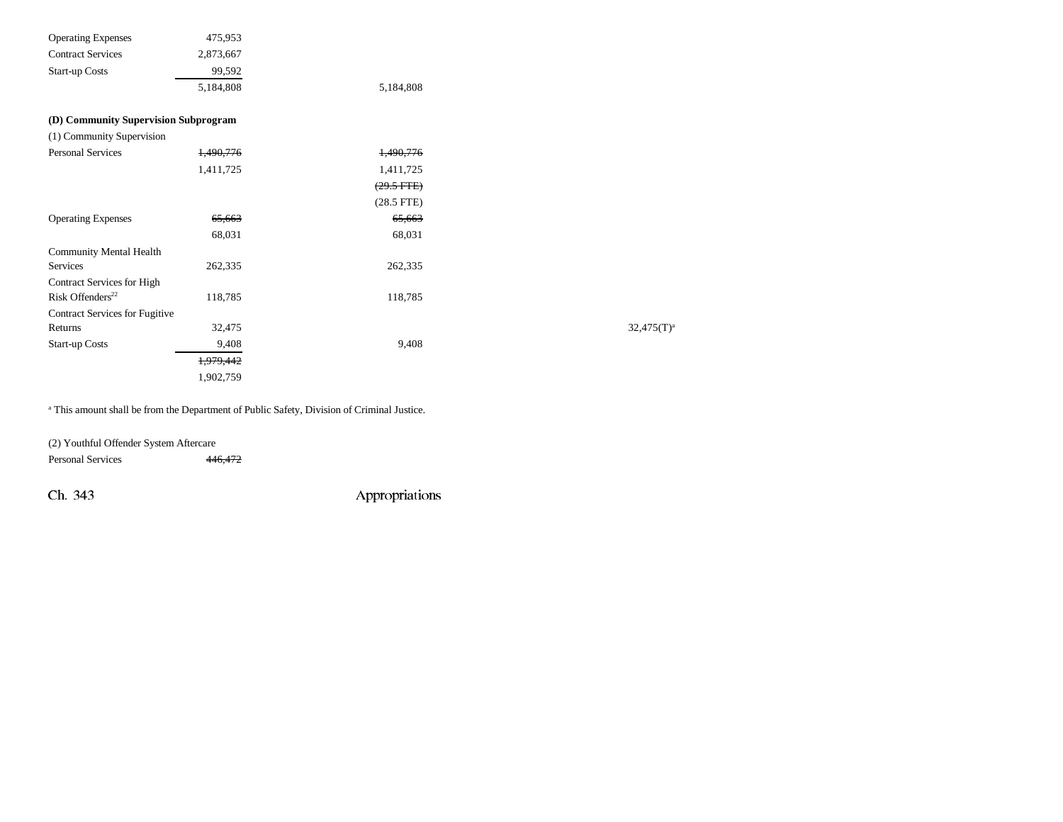| <b>Operating Expenses</b>            | 475,953   |                      |               |
|--------------------------------------|-----------|----------------------|---------------|
| <b>Contract Services</b>             | 2,873,667 |                      |               |
| <b>Start-up Costs</b>                | 99,592    |                      |               |
|                                      | 5,184,808 | 5,184,808            |               |
| (D) Community Supervision Subprogram |           |                      |               |
| (1) Community Supervision            |           |                      |               |
| <b>Personal Services</b>             | 1,490,776 | 1,490,776            |               |
|                                      | 1,411,725 | 1,411,725            |               |
|                                      |           | $(29.5 \text{ FTE})$ |               |
|                                      |           | $(28.5$ FTE)         |               |
| <b>Operating Expenses</b>            | 65,663    | 65,663               |               |
|                                      | 68,031    | 68,031               |               |
| <b>Community Mental Health</b>       |           |                      |               |
| Services                             | 262,335   | 262,335              |               |
| <b>Contract Services for High</b>    |           |                      |               |
| Risk Offenders <sup>22</sup>         | 118,785   | 118,785              |               |
| Contract Services for Fugitive       |           |                      |               |
| Returns                              | 32,475    |                      | $32,475(T)^3$ |
| <b>Start-up Costs</b>                | 9,408     | 9,408                |               |
|                                      | 1,979,442 |                      |               |
|                                      | 1,902,759 |                      |               |
|                                      |           |                      |               |

a This amount shall be from the Department of Public Safety, Division of Criminal Justice.

(2) Youthful Offender System Aftercare Personal Services 446,472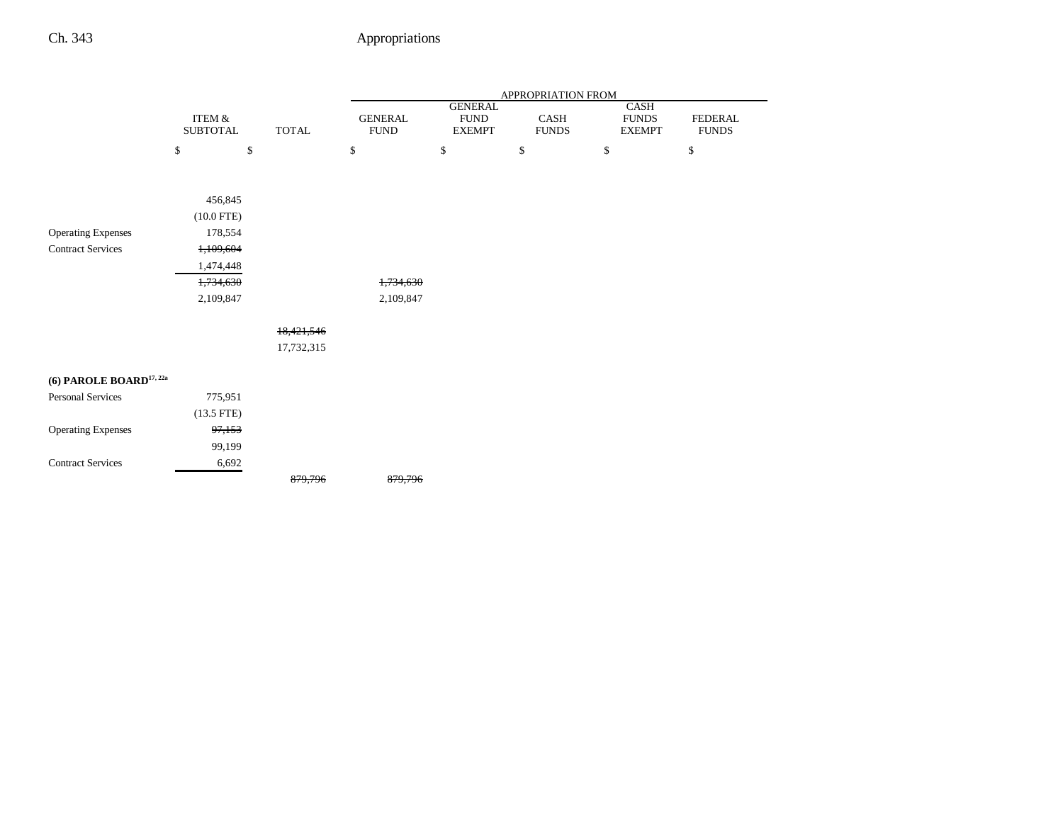|                                     |                           |              |                               |                                                | APPROPRIATION FROM   |                                       |                                |
|-------------------------------------|---------------------------|--------------|-------------------------------|------------------------------------------------|----------------------|---------------------------------------|--------------------------------|
|                                     | ITEM &<br><b>SUBTOTAL</b> | <b>TOTAL</b> | <b>GENERAL</b><br><b>FUND</b> | <b>GENERAL</b><br><b>FUND</b><br><b>EXEMPT</b> | CASH<br><b>FUNDS</b> | CASH<br><b>FUNDS</b><br><b>EXEMPT</b> | <b>FEDERAL</b><br><b>FUNDS</b> |
|                                     | \$                        | $\mathbb{S}$ | \$                            | \$                                             | \$                   | \$                                    | \$                             |
|                                     |                           |              |                               |                                                |                      |                                       |                                |
|                                     | 456,845                   |              |                               |                                                |                      |                                       |                                |
|                                     | $(10.0$ FTE)              |              |                               |                                                |                      |                                       |                                |
| <b>Operating Expenses</b>           | 178,554                   |              |                               |                                                |                      |                                       |                                |
| <b>Contract Services</b>            | 1,109,604                 |              |                               |                                                |                      |                                       |                                |
|                                     | 1,474,448                 |              |                               |                                                |                      |                                       |                                |
|                                     | 1,734,630                 |              | 1,734,630                     |                                                |                      |                                       |                                |
|                                     | 2,109,847                 |              | 2,109,847                     |                                                |                      |                                       |                                |
|                                     |                           | 18,421,546   |                               |                                                |                      |                                       |                                |
|                                     |                           | 17,732,315   |                               |                                                |                      |                                       |                                |
| (6) PAROLE BOARD <sup>17, 22a</sup> |                           |              |                               |                                                |                      |                                       |                                |
| <b>Personal Services</b>            | 775,951                   |              |                               |                                                |                      |                                       |                                |
|                                     | $(13.5$ FTE)              |              |                               |                                                |                      |                                       |                                |
| <b>Operating Expenses</b>           | 97,153                    |              |                               |                                                |                      |                                       |                                |
|                                     | 99,199                    |              |                               |                                                |                      |                                       |                                |
| <b>Contract Services</b>            | 6,692                     |              |                               |                                                |                      |                                       |                                |
|                                     |                           | 879,796      | 879,796                       |                                                |                      |                                       |                                |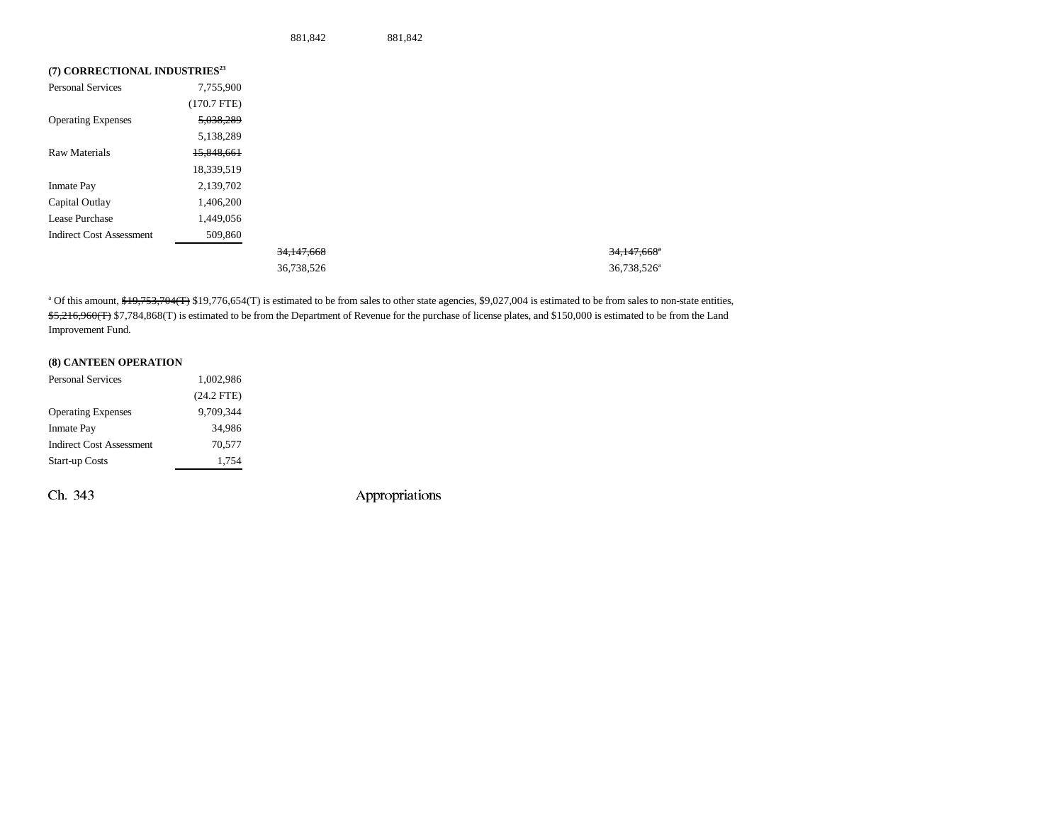881,842 881,842

| (7) CORRECTIONAL INDUSTRIES <sup>23</sup> |               |                       |  |
|-------------------------------------------|---------------|-----------------------|--|
| <b>Personal Services</b>                  | 7,755,900     |                       |  |
|                                           | $(170.7$ FTE) |                       |  |
| <b>Operating Expenses</b>                 | 5,038,289     |                       |  |
|                                           | 5,138,289     |                       |  |
| Raw Materials                             | 15,848,661    |                       |  |
|                                           | 18,339,519    |                       |  |
| <b>Inmate Pay</b>                         | 2,139,702     |                       |  |
| Capital Outlay                            | 1,406,200     |                       |  |
| Lease Purchase                            | 1,449,056     |                       |  |
| <b>Indirect Cost Assessment</b>           | 509,860       |                       |  |
|                                           |               | <del>34.147.668</del> |  |
|                                           |               | 36,738,526            |  |

34,147,668<sup>a</sup> 36,738,526<sup>a</sup>

<sup>a</sup> Of this amount, \$19,753,704(T) \$19,776,654(T) is estimated to be from sales to other state agencies, \$9,027,004 is estimated to be from sales to non-state entities, \$5,216,960(T) \$7,784,868(T) is estimated to be from the Department of Revenue for the purchase of license plates, and \$150,000 is estimated to be from the Land Improvement Fund.

#### **(8) CANTEEN OPERATION**

| <b>Personal Services</b>        | 1,002,986    |
|---------------------------------|--------------|
|                                 | $(24.2$ FTE) |
| <b>Operating Expenses</b>       | 9.709.344    |
| <b>Inmate Pay</b>               | 34.986       |
| <b>Indirect Cost Assessment</b> | 70.577       |
| <b>Start-up Costs</b>           | 1,754        |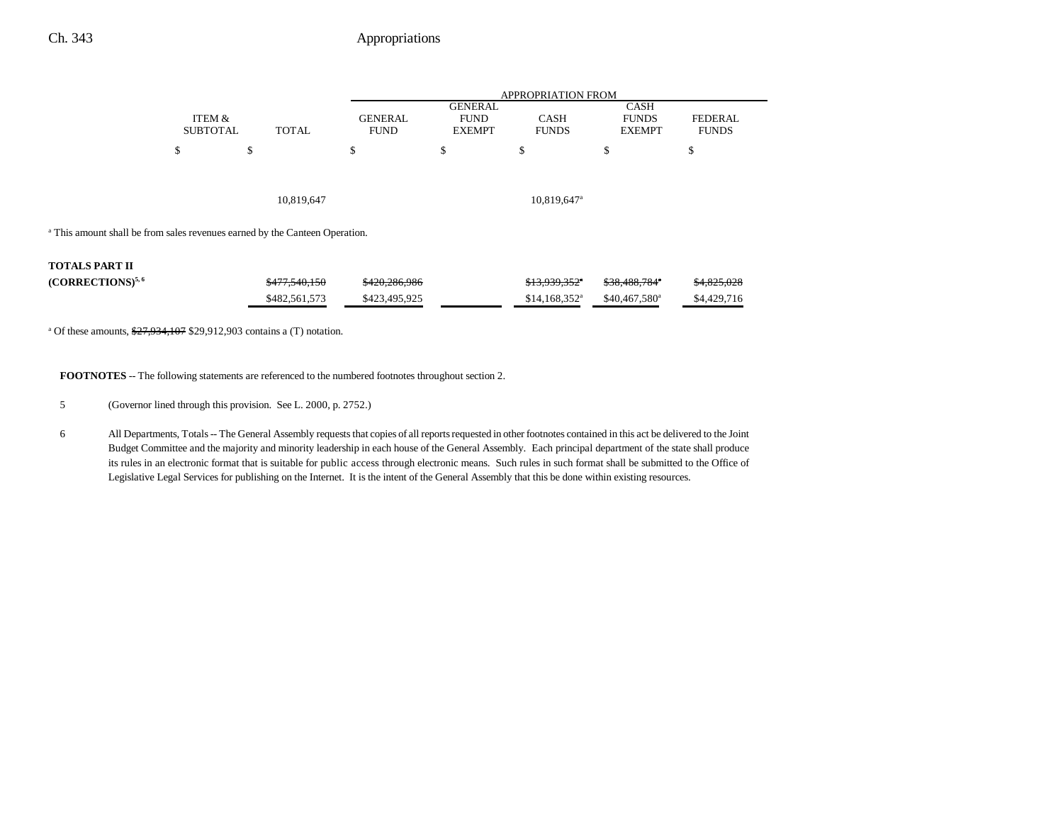#### Ch. 343 Appropriations

|                                                                                        |                           |               |                               | <b>APPROPRIATION FROM</b>                      |                             |                                              |                                |  |  |
|----------------------------------------------------------------------------------------|---------------------------|---------------|-------------------------------|------------------------------------------------|-----------------------------|----------------------------------------------|--------------------------------|--|--|
|                                                                                        | ITEM &<br><b>SUBTOTAL</b> | TOTAL         | <b>GENERAL</b><br><b>FUND</b> | <b>GENERAL</b><br><b>FUND</b><br><b>EXEMPT</b> | <b>CASH</b><br><b>FUNDS</b> | <b>CASH</b><br><b>FUNDS</b><br><b>EXEMPT</b> | <b>FEDERAL</b><br><b>FUNDS</b> |  |  |
|                                                                                        | \$                        | Φ             | ¢<br>э                        | \$                                             | Ф                           | \$                                           | \$                             |  |  |
|                                                                                        |                           |               |                               |                                                |                             |                                              |                                |  |  |
|                                                                                        |                           | 10,819,647    |                               |                                                | 10,819,647 <sup>a</sup>     |                                              |                                |  |  |
| <sup>a</sup> This amount shall be from sales revenues earned by the Canteen Operation. |                           |               |                               |                                                |                             |                                              |                                |  |  |
| <b>TOTALS PART II</b>                                                                  |                           |               |                               |                                                |                             |                                              |                                |  |  |
| $(CORRECTIONS)^{5,6}$                                                                  |                           | \$477,540,150 | \$420,286,986                 |                                                | \$13,939,352*               | \$38,488,784*                                | \$4,825,028                    |  |  |

\$482,561,573 \$423,495,925 \$14,168,352<sup>a</sup> \$40,467,580<sup>a</sup> \$4,429,716

<sup>a</sup> Of these amounts,  $\frac{$27,934,107}{$29,912,903}$  contains a (T) notation.

**FOOTNOTES** -- The following statements are referenced to the numbered footnotes throughout section 2.

5 (Governor lined through this provision. See L. 2000, p. 2752.)

6 All Departments, Totals -- The General Assembly requests that copies of all reports requested in other footnotes contained in this act be delivered to the Joint Budget Committee and the majority and minority leadership in each house of the General Assembly. Each principal department of the state shall produce its rules in an electronic format that is suitable for public access through electronic means. Such rules in such format shall be submitted to the Office of Legislative Legal Services for publishing on the Internet. It is the intent of the General Assembly that this be done within existing resources.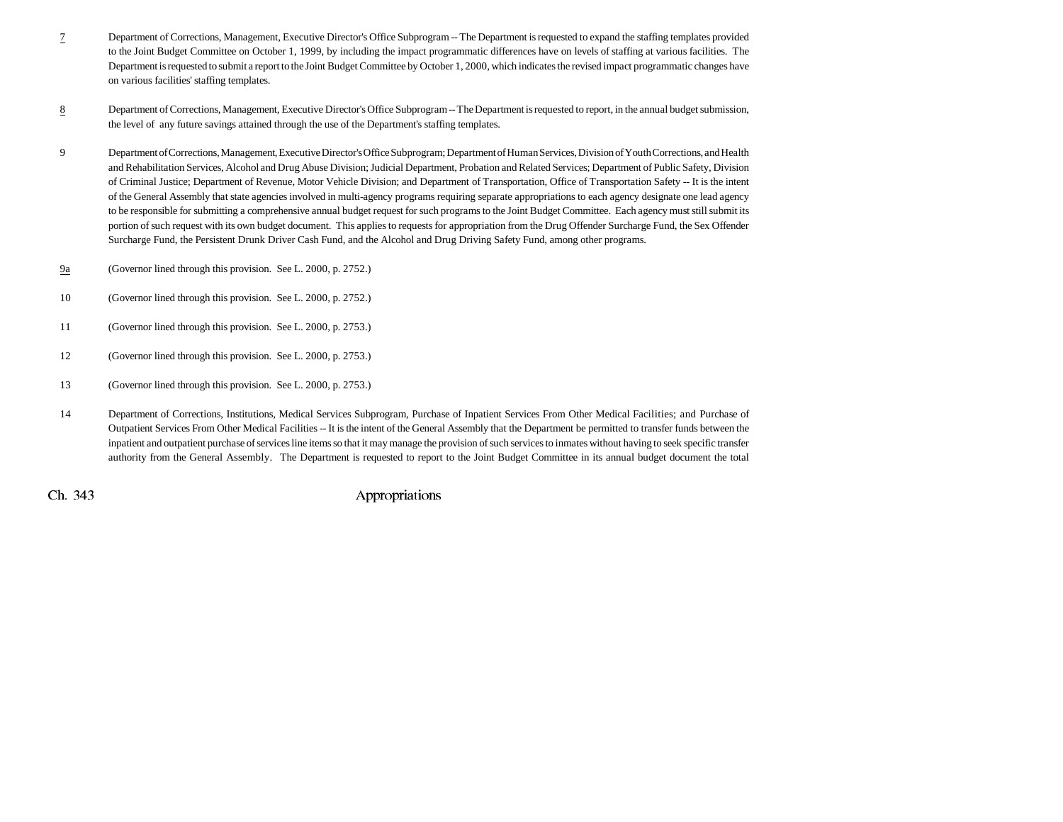- 7 Department of Corrections, Management, Executive Director's Office Subprogram -- The Department is requested to expand the staffing templates provided to the Joint Budget Committee on October 1, 1999, by including the impact programmatic differences have on levels of staffing at various facilities. The Department is requested to submit a report to the Joint Budget Committee by October 1, 2000, which indicates the revised impact programmatic changes have on various facilities' staffing templates.
- 8 Department of Corrections, Management, Executive Director's Office Subprogram -- The Department is requested to report, in the annual budget submission, the level of any future savings attained through the use of the Department's staffing templates.
- 9 Department of Corrections, Management, Executive Director's Office Subprogram; Department of Human Services, Division of Youth Corrections, and Health and Rehabilitation Services, Alcohol and Drug Abuse Division; Judicial Department, Probation and Related Services; Department of Public Safety, Division of Criminal Justice; Department of Revenue, Motor Vehicle Division; and Department of Transportation, Office of Transportation Safety -- It is the intent of the General Assembly that state agencies involved in multi-agency programs requiring separate appropriations to each agency designate one lead agency to be responsible for submitting a comprehensive annual budget request for such programs to the Joint Budget Committee. Each agency must still submit its portion of such request with its own budget document. This applies to requests for appropriation from the Drug Offender Surcharge Fund, the Sex Offender Surcharge Fund, the Persistent Drunk Driver Cash Fund, and the Alcohol and Drug Driving Safety Fund, among other programs.
- 9a(Governor lined through this provision. See L. 2000, p. 2752.)
- 10 (Governor lined through this provision. See L. 2000, p. 2752.)
- 11 (Governor lined through this provision. See L. 2000, p. 2753.)
- 12 (Governor lined through this provision. See L. 2000, p. 2753.)
- 13 (Governor lined through this provision. See L. 2000, p. 2753.)
- 14 Department of Corrections, Institutions, Medical Services Subprogram, Purchase of Inpatient Services From Other Medical Facilities; and Purchase of Outpatient Services From Other Medical Facilities -- It is the intent of the General Assembly that the Department be permitted to transfer funds between the inpatient and outpatient purchase of services line items so that it may manage the provision of such services to inmates without having to seek specific transfer authority from the General Assembly. The Department is requested to report to the Joint Budget Committee in its annual budget document the total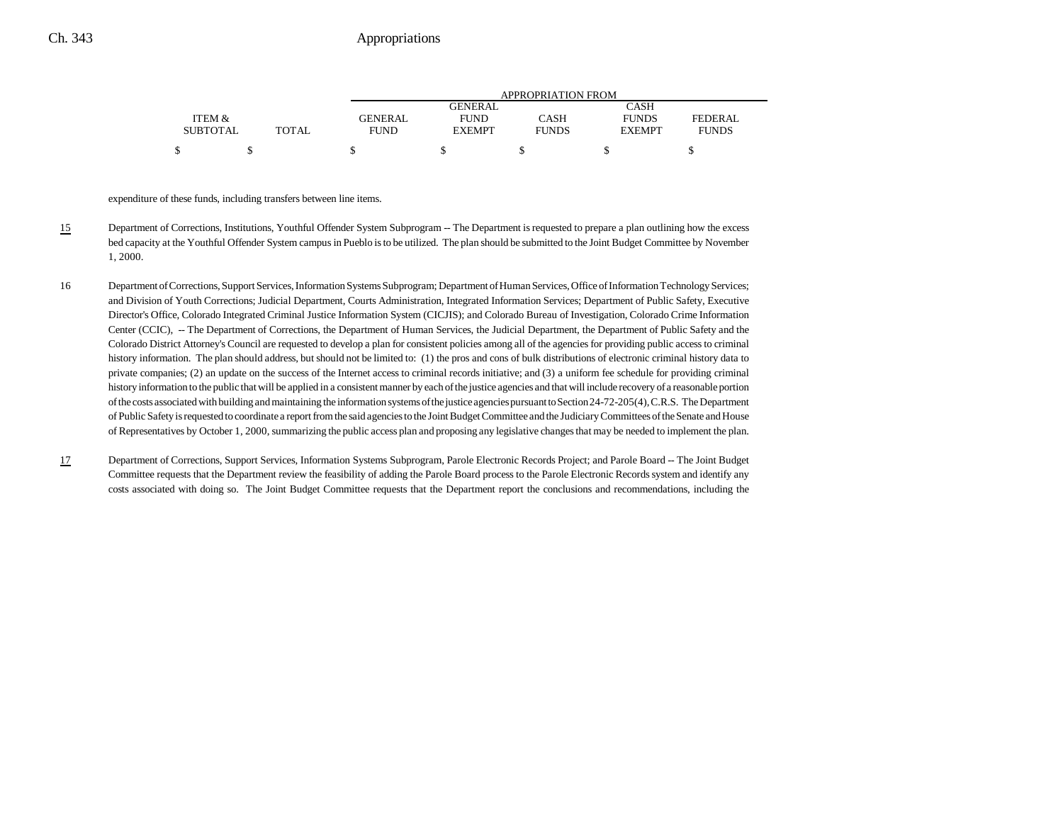|                 |              | APPROPRIATION FROM |               |              |               |              |  |  |  |
|-----------------|--------------|--------------------|---------------|--------------|---------------|--------------|--|--|--|
|                 |              |                    | GENERAL       |              | CASH          |              |  |  |  |
| ITEM &          |              | <b>GENERAL</b>     | <b>FUND</b>   | CASH         | <b>FUNDS</b>  | FEDERAL      |  |  |  |
| <b>SUBTOTAL</b> | <b>TOTAL</b> | <b>FUND</b>        | <b>EXEMPT</b> | <b>FUNDS</b> | <b>EXEMPT</b> | <b>FUNDS</b> |  |  |  |
|                 |              |                    |               |              |               |              |  |  |  |

expenditure of these funds, including transfers between line items.

- 15 Department of Corrections, Institutions, Youthful Offender System Subprogram -- The Department is requested to prepare a plan outlining how the excess bed capacity at the Youthful Offender System campus in Pueblo is to be utilized. The plan should be submitted to the Joint Budget Committee by November 1, 2000.
- 16 Department of Corrections, Support Services, Information Systems Subprogram; Department of Human Services, Office of Information Technology Services; and Division of Youth Corrections; Judicial Department, Courts Administration, Integrated Information Services; Department of Public Safety, Executive Director's Office, Colorado Integrated Criminal Justice Information System (CICJIS); and Colorado Bureau of Investigation, Colorado Crime Information Center (CCIC), -- The Department of Corrections, the Department of Human Services, the Judicial Department, the Department of Public Safety and the Colorado District Attorney's Council are requested to develop a plan for consistent policies among all of the agencies for providing public access to criminal history information. The plan should address, but should not be limited to: (1) the pros and cons of bulk distributions of electronic criminal history data to private companies; (2) an update on the success of the Internet access to criminal records initiative; and (3) a uniform fee schedule for providing criminal history information to the public that will be applied in a consistent manner by each of the justice agencies and that will include recovery of a reasonable portion of the costs associated with building and maintaining the information systems of the justice agencies pursuant to Section 24-72-205(4), C.R.S. The Department of Public Safety is requested to coordinate a report from the said agencies to the Joint Budget Committee and the Judiciary Committees of the Senate and House of Representatives by October 1, 2000, summarizing the public access plan and proposing any legislative changes that may be needed to implement the plan.
- 17 Department of Corrections, Support Services, Information Systems Subprogram, Parole Electronic Records Project; and Parole Board -- The Joint Budget Committee requests that the Department review the feasibility of adding the Parole Board process to the Parole Electronic Records system and identify any costs associated with doing so. The Joint Budget Committee requests that the Department report the conclusions and recommendations, including the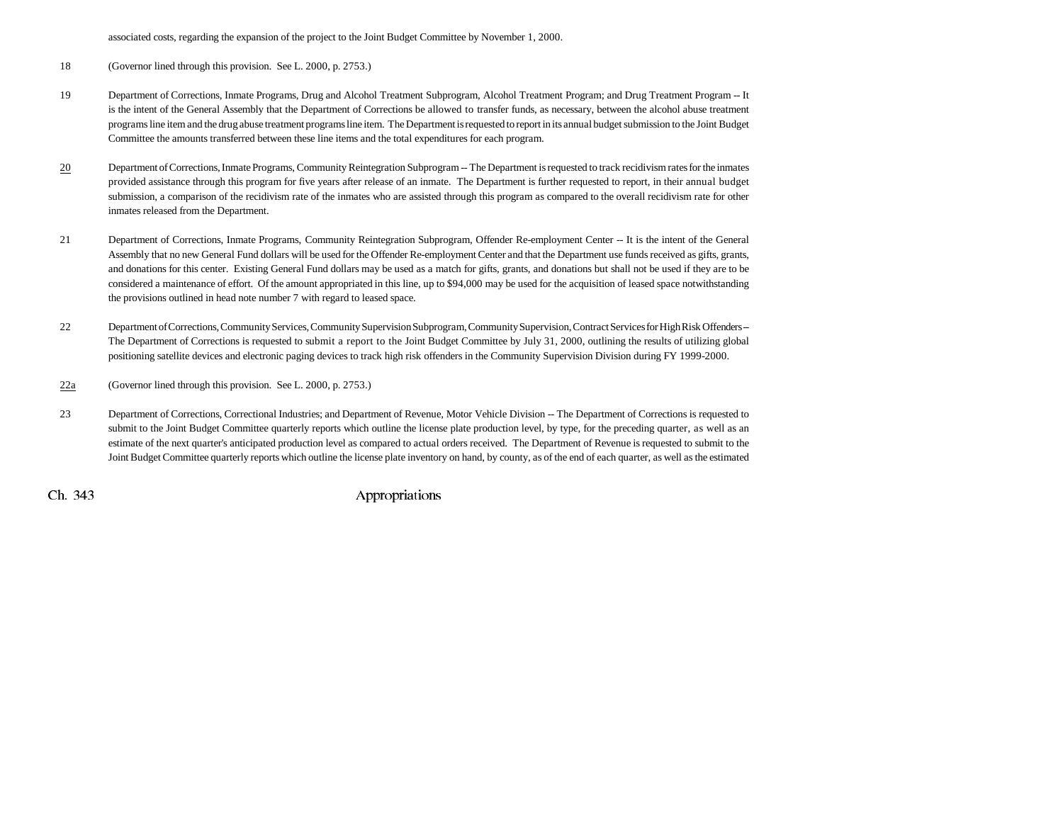associated costs, regarding the expansion of the project to the Joint Budget Committee by November 1, 2000.

18 (Governor lined through this provision. See L. 2000, p. 2753.)

- 19 Department of Corrections, Inmate Programs, Drug and Alcohol Treatment Subprogram, Alcohol Treatment Program; and Drug Treatment Program -- It is the intent of the General Assembly that the Department of Corrections be allowed to transfer funds, as necessary, between the alcohol abuse treatment programs line item and the drug abuse treatment programs line item. The Department is requested to report in its annual budget submission to the Joint Budget Committee the amounts transferred between these line items and the total expenditures for each program.
- 20 Department of Corrections, Inmate Programs, Community Reintegration Subprogram -- The Department is requested to track recidivism rates for the inmates provided assistance through this program for five years after release of an inmate. The Department is further requested to report, in their annual budget submission, a comparison of the recidivism rate of the inmates who are assisted through this program as compared to the overall recidivism rate for other inmates released from the Department.
- 21 Department of Corrections, Inmate Programs, Community Reintegration Subprogram, Offender Re-employment Center -- It is the intent of the General Assembly that no new General Fund dollars will be used for the Offender Re-employment Center and that the Department use funds received as gifts, grants, and donations for this center. Existing General Fund dollars may be used as a match for gifts, grants, and donations but shall not be used if they are to be considered a maintenance of effort. Of the amount appropriated in this line, up to \$94,000 may be used for the acquisition of leased space notwithstanding the provisions outlined in head note number 7 with regard to leased space.
- 22 Department of Corrections, Community Services, Community Supervision Subprogram, Community Supervision, Contract Services for High Risk Offenders --The Department of Corrections is requested to submit a report to the Joint Budget Committee by July 31, 2000, outlining the results of utilizing global positioning satellite devices and electronic paging devices to track high risk offenders in the Community Supervision Division during FY 1999-2000.
- 22a(Governor lined through this provision. See L. 2000, p. 2753.)
- 23 Department of Corrections, Correctional Industries; and Department of Revenue, Motor Vehicle Division -- The Department of Corrections is requested to submit to the Joint Budget Committee quarterly reports which outline the license plate production level, by type, for the preceding quarter, as well as an estimate of the next quarter's anticipated production level as compared to actual orders received. The Department of Revenue is requested to submit to the Joint Budget Committee quarterly reports which outline the license plate inventory on hand, by county, as of the end of each quarter, as well as the estimated